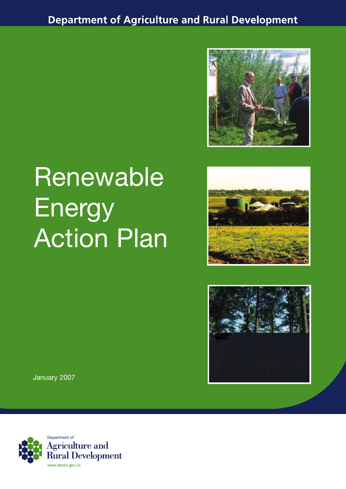**Department of Agriculture and Rural Development** 



# Renewable **Energy Action Plan**





January 2007

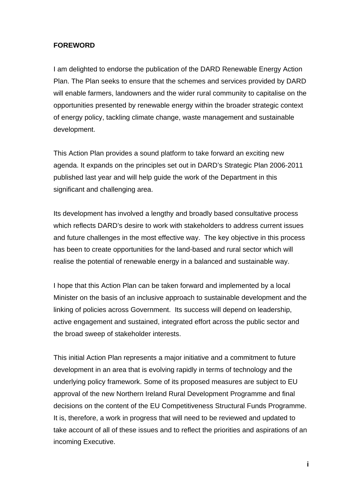# **FOREWORD**

I am delighted to endorse the publication of the DARD Renewable Energy Action Plan. The Plan seeks to ensure that the schemes and services provided by DARD will enable farmers, landowners and the wider rural community to capitalise on the opportunities presented by renewable energy within the broader strategic context of energy policy, tackling climate change, waste management and sustainable development.

This Action Plan provides a sound platform to take forward an exciting new agenda. It expands on the principles set out in DARD's Strategic Plan 2006-2011 published last year and will help guide the work of the Department in this significant and challenging area.

Its development has involved a lengthy and broadly based consultative process which reflects DARD's desire to work with stakeholders to address current issues and future challenges in the most effective way. The key objective in this process has been to create opportunities for the land-based and rural sector which will realise the potential of renewable energy in a balanced and sustainable way.

I hope that this Action Plan can be taken forward and implemented by a local Minister on the basis of an inclusive approach to sustainable development and the linking of policies across Government. Its success will depend on leadership, active engagement and sustained, integrated effort across the public sector and the broad sweep of stakeholder interests.

This initial Action Plan represents a major initiative and a commitment to future development in an area that is evolving rapidly in terms of technology and the underlying policy framework. Some of its proposed measures are subject to EU approval of the new Northern Ireland Rural Development Programme and final decisions on the content of the EU Competitiveness Structural Funds Programme. It is, therefore, a work in progress that will need to be reviewed and updated to take account of all of these issues and to reflect the priorities and aspirations of an incoming Executive.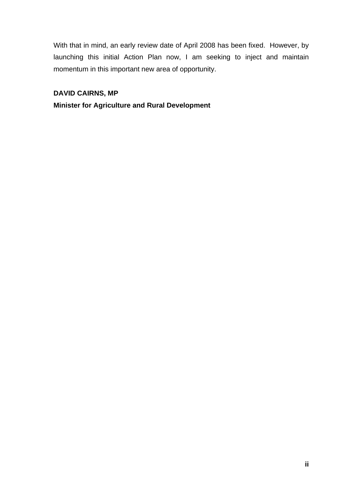With that in mind, an early review date of April 2008 has been fixed. However, by launching this initial Action Plan now, I am seeking to inject and maintain momentum in this important new area of opportunity.

# **DAVID CAIRNS, MP**

## **Minister for Agriculture and Rural Development**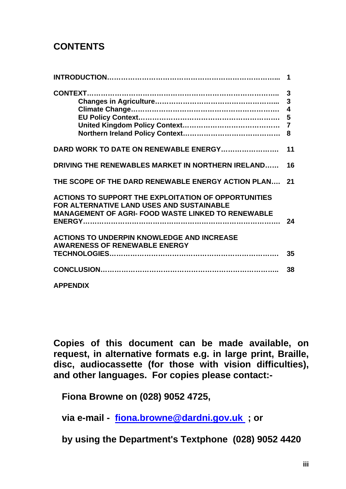# **CONTENTS**

|                                                                                                                                                         | 1                                        |
|---------------------------------------------------------------------------------------------------------------------------------------------------------|------------------------------------------|
|                                                                                                                                                         | $\mathbf{3}$<br>4<br>$\overline{7}$<br>8 |
| DARD WORK TO DATE ON RENEWABLE ENERGY                                                                                                                   | 11                                       |
| DRIVING THE RENEWABLES MARKET IN NORTHERN IRELAND                                                                                                       | 16                                       |
| THE SCOPE OF THE DARD RENEWABLE ENERGY ACTION PLAN 21                                                                                                   |                                          |
| ACTIONS TO SUPPORT THE EXPLOITATION OF OPPORTUNITIES<br>FOR ALTERNATIVE LAND USES AND SUSTAINABLE<br>MANAGEMENT OF AGRI- FOOD WASTE LINKED TO RENEWABLE | 24                                       |
| <b>ACTIONS TO UNDERPIN KNOWLEDGE AND INCREASE</b><br><b>AWARENESS OF RENEWABLE ENERGY</b>                                                               | 35                                       |
|                                                                                                                                                         | 38                                       |
| <b>APPENDIX</b>                                                                                                                                         |                                          |

**Copies of this document can be made available, on request, in alternative formats e.g. in large print, Braille, disc, audiocassette (for those with vision difficulties), and other languages. For copies please contact:-** 

**Fiona Browne on (028) 9052 4725,** 

**via e-mail - fiona.browne@dardni.gov.uk ; or** 

**by using the Department's Textphone (028) 9052 4420**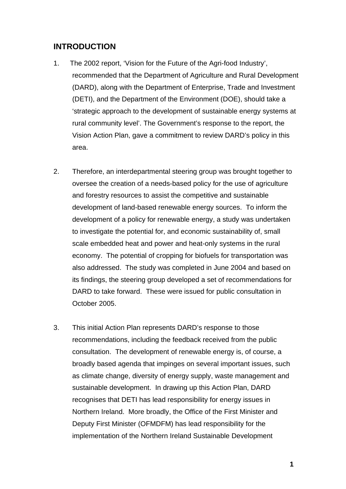# **INTRODUCTION**

- 1. The 2002 report, 'Vision for the Future of the Agri-food Industry', recommended that the Department of Agriculture and Rural Development (DARD), along with the Department of Enterprise, Trade and Investment (DETI), and the Department of the Environment (DOE), should take a 'strategic approach to the development of sustainable energy systems at rural community level'. The Government's response to the report, the Vision Action Plan, gave a commitment to review DARD's policy in this area.
- 2. Therefore, an interdepartmental steering group was brought together to oversee the creation of a needs-based policy for the use of agriculture and forestry resources to assist the competitive and sustainable development of land-based renewable energy sources. To inform the development of a policy for renewable energy, a study was undertaken to investigate the potential for, and economic sustainability of, small scale embedded heat and power and heat-only systems in the rural economy. The potential of cropping for biofuels for transportation was also addressed. The study was completed in June 2004 and based on its findings, the steering group developed a set of recommendations for DARD to take forward. These were issued for public consultation in October 2005.
- 3. This initial Action Plan represents DARD's response to those recommendations, including the feedback received from the public consultation. The development of renewable energy is, of course, a broadly based agenda that impinges on several important issues, such as climate change, diversity of energy supply, waste management and sustainable development. In drawing up this Action Plan, DARD recognises that DETI has lead responsibility for energy issues in Northern Ireland. More broadly, the Office of the First Minister and Deputy First Minister (OFMDFM) has lead responsibility for the implementation of the Northern Ireland Sustainable Development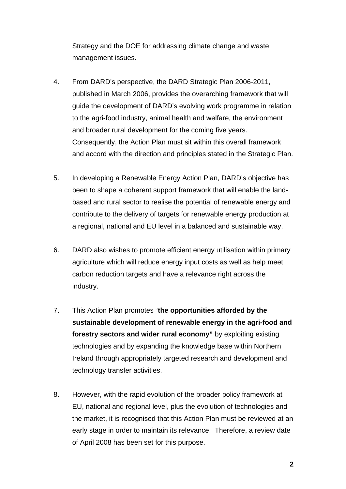Strategy and the DOE for addressing climate change and waste management issues.

- 4. From DARD's perspective, the DARD Strategic Plan 2006-2011, published in March 2006, provides the overarching framework that will guide the development of DARD's evolving work programme in relation to the agri-food industry, animal health and welfare, the environment and broader rural development for the coming five years. Consequently, the Action Plan must sit within this overall framework and accord with the direction and principles stated in the Strategic Plan.
- 5. In developing a Renewable Energy Action Plan, DARD's objective has been to shape a coherent support framework that will enable the landbased and rural sector to realise the potential of renewable energy and contribute to the delivery of targets for renewable energy production at a regional, national and EU level in a balanced and sustainable way.
- 6. DARD also wishes to promote efficient energy utilisation within primary agriculture which will reduce energy input costs as well as help meet carbon reduction targets and have a relevance right across the industry.
- 7. This Action Plan promotes "**the opportunities afforded by the sustainable development of renewable energy in the agri-food and forestry sectors and wider rural economy"** by exploiting existing technologies and by expanding the knowledge base within Northern Ireland through appropriately targeted research and development and technology transfer activities.
- 8. However, with the rapid evolution of the broader policy framework at EU, national and regional level, plus the evolution of technologies and the market, it is recognised that this Action Plan must be reviewed at an early stage in order to maintain its relevance. Therefore, a review date of April 2008 has been set for this purpose.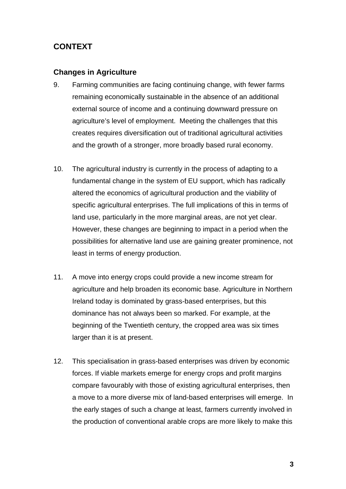# **CONTEXT**

## **Changes in Agriculture**

- 9. Farming communities are facing continuing change, with fewer farms remaining economically sustainable in the absence of an additional external source of income and a continuing downward pressure on agriculture's level of employment. Meeting the challenges that this creates requires diversification out of traditional agricultural activities and the growth of a stronger, more broadly based rural economy.
- 10. The agricultural industry is currently in the process of adapting to a fundamental change in the system of EU support, which has radically altered the economics of agricultural production and the viability of specific agricultural enterprises. The full implications of this in terms of land use, particularly in the more marginal areas, are not yet clear. However, these changes are beginning to impact in a period when the possibilities for alternative land use are gaining greater prominence, not least in terms of energy production.
- 11. A move into energy crops could provide a new income stream for agriculture and help broaden its economic base. Agriculture in Northern Ireland today is dominated by grass-based enterprises, but this dominance has not always been so marked. For example, at the beginning of the Twentieth century, the cropped area was six times larger than it is at present.
- 12. This specialisation in grass-based enterprises was driven by economic forces. If viable markets emerge for energy crops and profit margins compare favourably with those of existing agricultural enterprises, then a move to a more diverse mix of land-based enterprises will emerge. In the early stages of such a change at least, farmers currently involved in the production of conventional arable crops are more likely to make this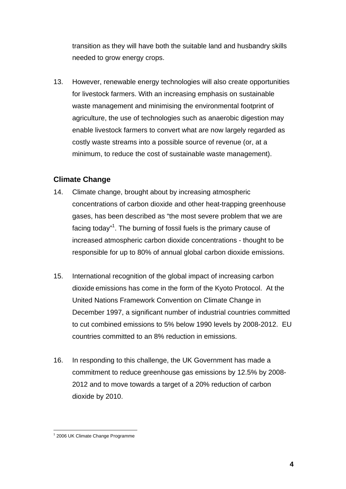transition as they will have both the suitable land and husbandry skills needed to grow energy crops.

13. However, renewable energy technologies will also create opportunities for livestock farmers. With an increasing emphasis on sustainable waste management and minimising the environmental footprint of agriculture, the use of technologies such as anaerobic digestion may enable livestock farmers to convert what are now largely regarded as costly waste streams into a possible source of revenue (or, at a minimum, to reduce the cost of sustainable waste management).

# **Climate Change**

- 14. Climate change, brought about by increasing atmospheric concentrations of carbon dioxide and other heat-trapping greenhouse gases, has been described as "the most severe problem that we are facing today"<sup>1</sup>. The burning of fossil fuels is the primary cause of increased atmospheric carbon dioxide concentrations - thought to be responsible for up to 80% of annual global carbon dioxide emissions.
- 15. International recognition of the global impact of increasing carbon dioxide emissions has come in the form of the Kyoto Protocol. At the United Nations Framework Convention on Climate Change in December 1997, a significant number of industrial countries committed to cut combined emissions to 5% below 1990 levels by 2008-2012. EU countries committed to an 8% reduction in emissions.
- 16. In responding to this challenge, the UK Government has made a commitment to reduce greenhouse gas emissions by 12.5% by 2008- 2012 and to move towards a target of a 20% reduction of carbon dioxide by 2010.

<sup>&</sup>lt;sup>1</sup> 2006 UK Climate Change Programme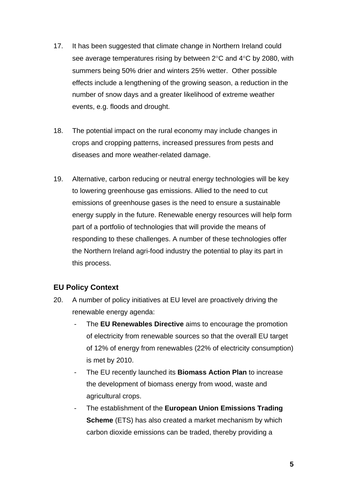- 17. It has been suggested that climate change in Northern Ireland could see average temperatures rising by between 2°C and 4°C by 2080, with summers being 50% drier and winters 25% wetter. Other possible effects include a lengthening of the growing season, a reduction in the number of snow days and a greater likelihood of extreme weather events, e.g. floods and drought.
- 18. The potential impact on the rural economy may include changes in crops and cropping patterns, increased pressures from pests and diseases and more weather-related damage.
- 19. Alternative, carbon reducing or neutral energy technologies will be key to lowering greenhouse gas emissions. Allied to the need to cut emissions of greenhouse gases is the need to ensure a sustainable energy supply in the future. Renewable energy resources will help form part of a portfolio of technologies that will provide the means of responding to these challenges. A number of these technologies offer the Northern Ireland agri-food industry the potential to play its part in this process.

# **EU Policy Context**

- 20. A number of policy initiatives at EU level are proactively driving the renewable energy agenda:
	- The **EU Renewables Directive** aims to encourage the promotion of electricity from renewable sources so that the overall EU target of 12% of energy from renewables (22% of electricity consumption) is met by 2010.
	- The EU recently launched its **Biomass Action Plan** to increase the development of biomass energy from wood, waste and agricultural crops.
	- The establishment of the **European Union Emissions Trading Scheme** (ETS) has also created a market mechanism by which carbon dioxide emissions can be traded, thereby providing a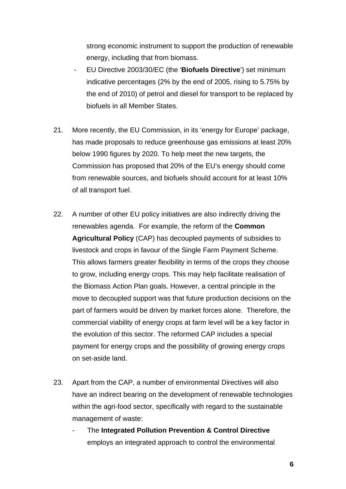strong economic instrument to support the production of renewable energy, including that from biomass.

- EU Directive 2003/30/EC (the '**Biofuels Directive**') set minimum indicative percentages (2% by the end of 2005, rising to 5.75% by the end of 2010) of petrol and diesel for transport to be replaced by biofuels in all Member States.
- 21. More recently, the EU Commission, in its 'energy for Europe' package, has made proposals to reduce greenhouse gas emissions at least 20% below 1990 figures by 2020. To help meet the new targets, the Commission has proposed that 20% of the EU's energy should come from renewable sources, and biofuels should account for at least 10% of all transport fuel.
- 22. A number of other EU policy initiatives are also indirectly driving the renewables agenda. For example, the reform of the **Common Agricultural Policy** (CAP) has decoupled payments of subsidies to livestock and crops in favour of the Single Farm Payment Scheme. This allows farmers greater flexibility in terms of the crops they choose to grow, including energy crops. This may help facilitate realisation of the Biomass Action Plan goals. However, a central principle in the move to decoupled support was that future production decisions on the part of farmers would be driven by market forces alone. Therefore, the commercial viability of energy crops at farm level will be a key factor in the evolution of this sector. The reformed CAP includes a special payment for energy crops and the possibility of growing energy crops on set-aside land.
- 23. Apart from the CAP, a number of environmental Directives will also have an indirect bearing on the development of renewable technologies within the agri-food sector, specifically with regard to the sustainable management of waste:
	- The **Integrated Pollution Prevention & Control Directive** employs an integrated approach to control the environmental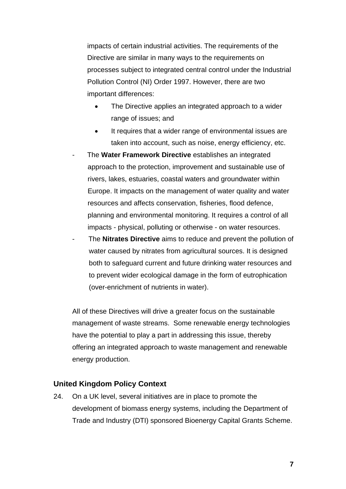impacts of certain industrial activities. The requirements of the Directive are similar in many ways to the requirements on processes subject to integrated central control under the Industrial Pollution Control (NI) Order 1997. However, there are two important differences:

- The Directive applies an integrated approach to a wider range of issues; and
- It requires that a wider range of environmental issues are taken into account, such as noise, energy efficiency, etc.
- The **Water Framework Directive** establishes an integrated approach to the protection, improvement and sustainable use of rivers, lakes, estuaries, coastal waters and groundwater within Europe. It impacts on the management of water quality and water resources and affects conservation, fisheries, flood defence, planning and environmental monitoring. It requires a control of all impacts - physical, polluting or otherwise - on water resources.
	- The **Nitrates Directive** aims to reduce and prevent the pollution of water caused by nitrates from agricultural sources. It is designed both to safeguard current and future drinking water resources and to prevent wider ecological damage in the form of eutrophication (over-enrichment of nutrients in water).

All of these Directives will drive a greater focus on the sustainable management of waste streams. Some renewable energy technologies have the potential to play a part in addressing this issue, thereby offering an integrated approach to waste management and renewable energy production.

#### **United Kingdom Policy Context**

24. On a UK level, several initiatives are in place to promote the development of biomass energy systems, including the Department of Trade and Industry (DTI) sponsored Bioenergy Capital Grants Scheme.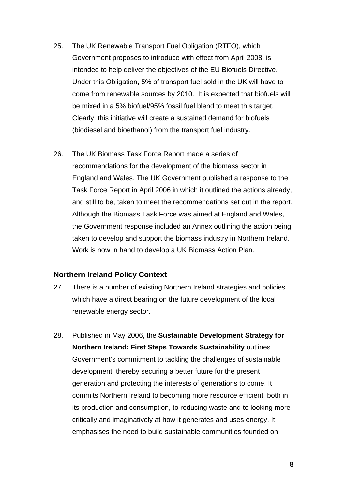- 25. The UK Renewable Transport Fuel Obligation (RTFO), which Government proposes to introduce with effect from April 2008, is intended to help deliver the objectives of the EU Biofuels Directive. Under this Obligation, 5% of transport fuel sold in the UK will have to come from renewable sources by 2010. It is expected that biofuels will be mixed in a 5% biofuel/95% fossil fuel blend to meet this target. Clearly, this initiative will create a sustained demand for biofuels (biodiesel and bioethanol) from the transport fuel industry.
- 26. The UK Biomass Task Force Report made a series of recommendations for the development of the biomass sector in England and Wales. The UK Government published a response to the Task Force Report in April 2006 in which it outlined the actions already, and still to be, taken to meet the recommendations set out in the report. Although the Biomass Task Force was aimed at England and Wales, the Government response included an Annex outlining the action being taken to develop and support the biomass industry in Northern Ireland. Work is now in hand to develop a UK Biomass Action Plan.

#### **Northern Ireland Policy Context**

- 27. There is a number of existing Northern Ireland strategies and policies which have a direct bearing on the future development of the local renewable energy sector.
- 28. Published in May 2006, the **Sustainable Development Strategy for Northern Ireland: First Steps Towards Sustainability** outlines Government's commitment to tackling the challenges of sustainable development, thereby securing a better future for the present generation and protecting the interests of generations to come. It commits Northern Ireland to becoming more resource efficient, both in its production and consumption, to reducing waste and to looking more critically and imaginatively at how it generates and uses energy. It emphasises the need to build sustainable communities founded on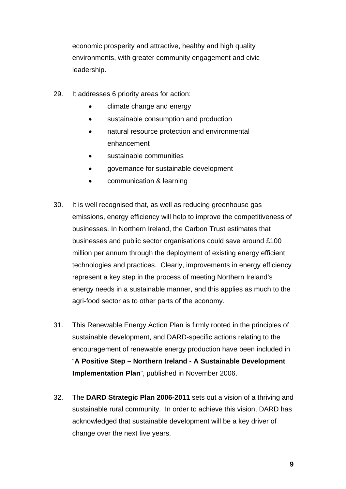economic prosperity and attractive, healthy and high quality environments, with greater community engagement and civic leadership.

- 29. It addresses 6 priority areas for action:
	- climate change and energy
	- sustainable consumption and production
	- natural resource protection and environmental enhancement
	- sustainable communities
	- governance for sustainable development
	- communication & learning
- 30. It is well recognised that, as well as reducing greenhouse gas emissions, energy efficiency will help to improve the competitiveness of businesses. In Northern Ireland, the Carbon Trust estimates that businesses and public sector organisations could save around £100 million per annum through the deployment of existing energy efficient technologies and practices. Clearly, improvements in energy efficiency represent a key step in the process of meeting Northern Ireland's energy needs in a sustainable manner, and this applies as much to the agri-food sector as to other parts of the economy.
- 31. This Renewable Energy Action Plan is firmly rooted in the principles of sustainable development, and DARD-specific actions relating to the encouragement of renewable energy production have been included in "**A Positive Step – Northern Ireland - A Sustainable Development Implementation Plan**", published in November 2006.
- 32. The **DARD Strategic Plan 2006-2011** sets out a vision of a thriving and sustainable rural community. In order to achieve this vision, DARD has acknowledged that sustainable development will be a key driver of change over the next five years.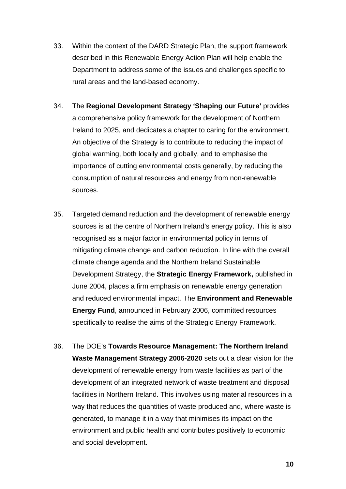- 33. Within the context of the DARD Strategic Plan, the support framework described in this Renewable Energy Action Plan will help enable the Department to address some of the issues and challenges specific to rural areas and the land-based economy.
- 34. The **Regional Development Strategy 'Shaping our Future'** provides a comprehensive policy framework for the development of Northern Ireland to 2025, and dedicates a chapter to caring for the environment. An objective of the Strategy is to contribute to reducing the impact of global warming, both locally and globally, and to emphasise the importance of cutting environmental costs generally, by reducing the consumption of natural resources and energy from non-renewable sources.
- 35. Targeted demand reduction and the development of renewable energy sources is at the centre of Northern Ireland's energy policy. This is also recognised as a major factor in environmental policy in terms of mitigating climate change and carbon reduction. In line with the overall climate change agenda and the Northern Ireland Sustainable Development Strategy, the **Strategic Energy Framework,** published in June 2004, places a firm emphasis on renewable energy generation and reduced environmental impact. The **Environment and Renewable Energy Fund**, announced in February 2006, committed resources specifically to realise the aims of the Strategic Energy Framework.
- 36. The DOE's **Towards Resource Management: The Northern Ireland Waste Management Strategy 2006-2020** sets out a clear vision for the development of renewable energy from waste facilities as part of the development of an integrated network of waste treatment and disposal facilities in Northern Ireland. This involves using material resources in a way that reduces the quantities of waste produced and, where waste is generated, to manage it in a way that minimises its impact on the environment and public health and contributes positively to economic and social development.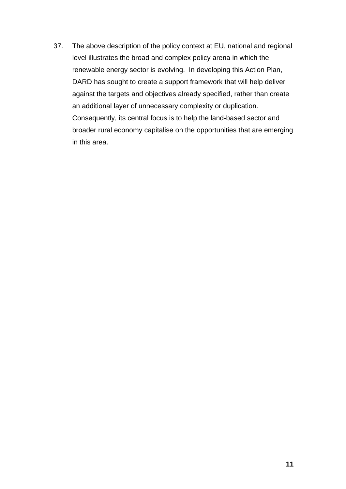37. The above description of the policy context at EU, national and regional level illustrates the broad and complex policy arena in which the renewable energy sector is evolving. In developing this Action Plan, DARD has sought to create a support framework that will help deliver against the targets and objectives already specified, rather than create an additional layer of unnecessary complexity or duplication. Consequently, its central focus is to help the land-based sector and broader rural economy capitalise on the opportunities that are emerging in this area.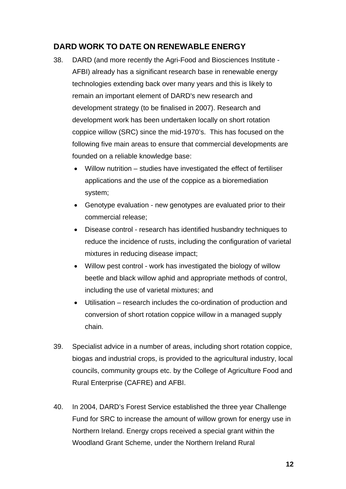# **DARD WORK TO DATE ON RENEWABLE ENERGY**

- 38. DARD (and more recently the Agri-Food and Biosciences Institute AFBI) already has a significant research base in renewable energy technologies extending back over many years and this is likely to remain an important element of DARD's new research and development strategy (to be finalised in 2007). Research and development work has been undertaken locally on short rotation coppice willow (SRC) since the mid-1970's. This has focused on the following five main areas to ensure that commercial developments are founded on a reliable knowledge base:
	- Willow nutrition studies have investigated the effect of fertiliser applications and the use of the coppice as a bioremediation system;
	- Genotype evaluation new genotypes are evaluated prior to their commercial release;
	- Disease control research has identified husbandry techniques to reduce the incidence of rusts, including the configuration of varietal mixtures in reducing disease impact;
	- Willow pest control work has investigated the biology of willow beetle and black willow aphid and appropriate methods of control, including the use of varietal mixtures; and
	- Utilisation research includes the co-ordination of production and conversion of short rotation coppice willow in a managed supply chain.
- 39. Specialist advice in a number of areas, including short rotation coppice, biogas and industrial crops, is provided to the agricultural industry, local councils, community groups etc. by the College of Agriculture Food and Rural Enterprise (CAFRE) and AFBI.
- 40. In 2004, DARD's Forest Service established the three year Challenge Fund for SRC to increase the amount of willow grown for energy use in Northern Ireland. Energy crops received a special grant within the Woodland Grant Scheme, under the Northern Ireland Rural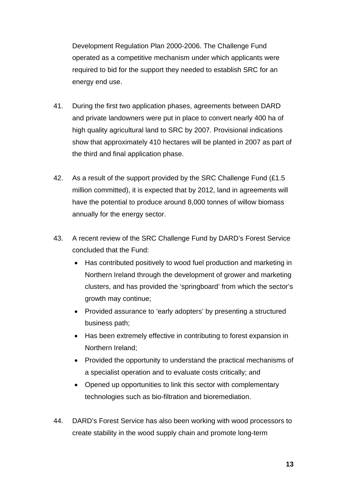Development Regulation Plan 2000-2006. The Challenge Fund operated as a competitive mechanism under which applicants were required to bid for the support they needed to establish SRC for an energy end use.

- 41. During the first two application phases, agreements between DARD and private landowners were put in place to convert nearly 400 ha of high quality agricultural land to SRC by 2007. Provisional indications show that approximately 410 hectares will be planted in 2007 as part of the third and final application phase.
- 42. As a result of the support provided by the SRC Challenge Fund (£1.5) million committed), it is expected that by 2012, land in agreements will have the potential to produce around 8,000 tonnes of willow biomass annually for the energy sector.
- 43. A recent review of the SRC Challenge Fund by DARD's Forest Service concluded that the Fund:
	- Has contributed positively to wood fuel production and marketing in Northern Ireland through the development of grower and marketing clusters, and has provided the 'springboard' from which the sector's growth may continue;
	- Provided assurance to 'early adopters' by presenting a structured business path;
	- Has been extremely effective in contributing to forest expansion in Northern Ireland;
	- Provided the opportunity to understand the practical mechanisms of a specialist operation and to evaluate costs critically; and
	- Opened up opportunities to link this sector with complementary technologies such as bio-filtration and bioremediation.
- 44. DARD's Forest Service has also been working with wood processors to create stability in the wood supply chain and promote long-term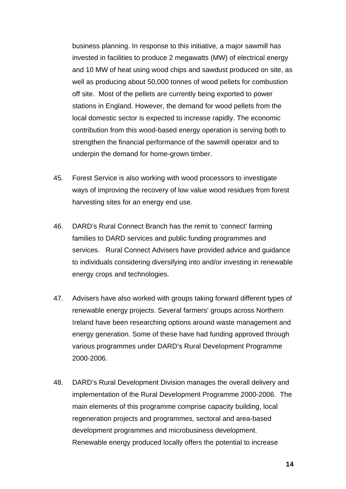business planning. In response to this initiative, a major sawmill has invested in facilities to produce 2 megawatts (MW) of electrical energy and 10 MW of heat using wood chips and sawdust produced on site, as well as producing about 50,000 tonnes of wood pellets for combustion off site. Most of the pellets are currently being exported to power stations in England. However, the demand for wood pellets from the local domestic sector is expected to increase rapidly. The economic contribution from this wood-based energy operation is serving both to strengthen the financial performance of the sawmill operator and to underpin the demand for home-grown timber.

- 45. Forest Service is also working with wood processors to investigate ways of improving the recovery of low value wood residues from forest harvesting sites for an energy end use.
- 46. DARD's Rural Connect Branch has the remit to 'connect' farming families to DARD services and public funding programmes and services. Rural Connect Advisers have provided advice and guidance to individuals considering diversifying into and/or investing in renewable energy crops and technologies.
- 47. Advisers have also worked with groups taking forward different types of renewable energy projects. Several farmers' groups across Northern Ireland have been researching options around waste management and energy generation. Some of these have had funding approved through various programmes under DARD's Rural Development Programme 2000-2006.
- 48. DARD's Rural Development Division manages the overall delivery and implementation of the Rural Development Programme 2000-2006. The main elements of this programme comprise capacity building, local regeneration projects and programmes, sectoral and area-based development programmes and microbusiness development. Renewable energy produced locally offers the potential to increase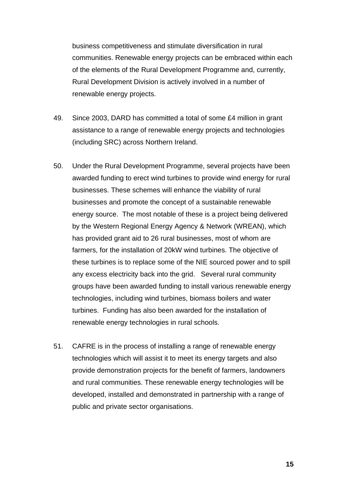business competitiveness and stimulate diversification in rural communities. Renewable energy projects can be embraced within each of the elements of the Rural Development Programme and, currently, Rural Development Division is actively involved in a number of renewable energy projects.

- 49. Since 2003, DARD has committed a total of some £4 million in grant assistance to a range of renewable energy projects and technologies (including SRC) across Northern Ireland.
- 50. Under the Rural Development Programme, several projects have been awarded funding to erect wind turbines to provide wind energy for rural businesses. These schemes will enhance the viability of rural businesses and promote the concept of a sustainable renewable energy source. The most notable of these is a project being delivered by the Western Regional Energy Agency & Network (WREAN), which has provided grant aid to 26 rural businesses, most of whom are farmers, for the installation of 20kW wind turbines. The objective of these turbines is to replace some of the NIE sourced power and to spill any excess electricity back into the grid. Several rural community groups have been awarded funding to install various renewable energy technologies, including wind turbines, biomass boilers and water turbines. Funding has also been awarded for the installation of renewable energy technologies in rural schools.
- 51. CAFRE is in the process of installing a range of renewable energy technologies which will assist it to meet its energy targets and also provide demonstration projects for the benefit of farmers, landowners and rural communities. These renewable energy technologies will be developed, installed and demonstrated in partnership with a range of public and private sector organisations.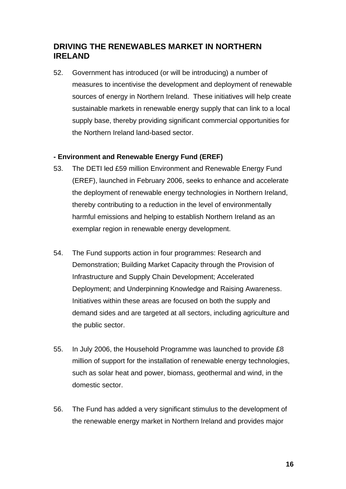# **DRIVING THE RENEWABLES MARKET IN NORTHERN IRELAND**

52. Government has introduced (or will be introducing) a number of measures to incentivise the development and deployment of renewable sources of energy in Northern Ireland. These initiatives will help create sustainable markets in renewable energy supply that can link to a local supply base, thereby providing significant commercial opportunities for the Northern Ireland land-based sector.

### **- Environment and Renewable Energy Fund (EREF)**

- 53. The DETI led £59 million Environment and Renewable Energy Fund (EREF), launched in February 2006, seeks to enhance and accelerate the deployment of renewable energy technologies in Northern Ireland, thereby contributing to a reduction in the level of environmentally harmful emissions and helping to establish Northern Ireland as an exemplar region in renewable energy development.
- 54. The Fund supports action in four programmes: Research and Demonstration; Building Market Capacity through the Provision of Infrastructure and Supply Chain Development; Accelerated Deployment; and Underpinning Knowledge and Raising Awareness. Initiatives within these areas are focused on both the supply and demand sides and are targeted at all sectors, including agriculture and the public sector.
- 55. In July 2006, the Household Programme was launched to provide £8 million of support for the installation of renewable energy technologies, such as solar heat and power, biomass, geothermal and wind, in the domestic sector.
- 56. The Fund has added a very significant stimulus to the development of the renewable energy market in Northern Ireland and provides major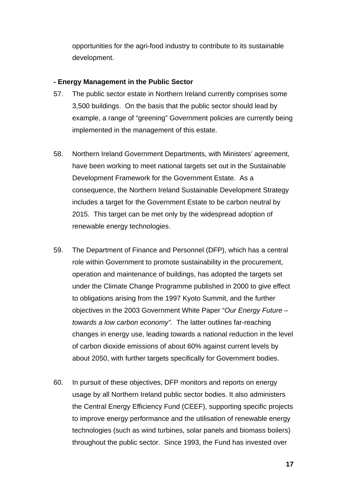opportunities for the agri-food industry to contribute to its sustainable development.

#### **- Energy Management in the Public Sector**

- 57. The public sector estate in Northern Ireland currently comprises some 3,500 buildings. On the basis that the public sector should lead by example, a range of "greening" Government policies are currently being implemented in the management of this estate.
- 58. Northern Ireland Government Departments, with Ministers' agreement, have been working to meet national targets set out in the Sustainable Development Framework for the Government Estate. As a consequence, the Northern Ireland Sustainable Development Strategy includes a target for the Government Estate to be carbon neutral by 2015. This target can be met only by the widespread adoption of renewable energy technologies.
- 59. The Department of Finance and Personnel (DFP), which has a central role within Government to promote sustainability in the procurement, operation and maintenance of buildings, has adopted the targets set under the Climate Change Programme published in 2000 to give effect to obligations arising from the 1997 Kyoto Summit, and the further objectives in the 2003 Government White Paper "*Our Energy Future – towards a low carbon economy".* The latter outlines far-reaching changes in energy use, leading towards a national reduction in the level of carbon dioxide emissions of about 60% against current levels by about 2050, with further targets specifically for Government bodies.
- 60. In pursuit of these objectives, DFP monitors and reports on energy usage by all Northern Ireland public sector bodies. It also administers the Central Energy Efficiency Fund (CEEF), supporting specific projects to improve energy performance and the utilisation of renewable energy technologies (such as wind turbines, solar panels and biomass boilers) throughout the public sector. Since 1993, the Fund has invested over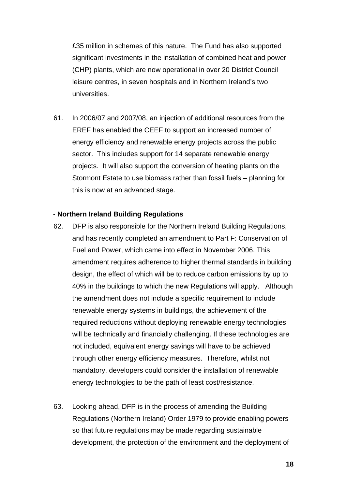£35 million in schemes of this nature. The Fund has also supported significant investments in the installation of combined heat and power (CHP) plants, which are now operational in over 20 District Council leisure centres, in seven hospitals and in Northern Ireland's two universities.

61. In 2006/07 and 2007/08, an injection of additional resources from the EREF has enabled the CEEF to support an increased number of energy efficiency and renewable energy projects across the public sector. This includes support for 14 separate renewable energy projects. It will also support the conversion of heating plants on the Stormont Estate to use biomass rather than fossil fuels – planning for this is now at an advanced stage.

#### **- Northern Ireland Building Regulations**

- 62. DFP is also responsible for the Northern Ireland Building Regulations, and has recently completed an amendment to Part F: Conservation of Fuel and Power, which came into effect in November 2006. This amendment requires adherence to higher thermal standards in building design, the effect of which will be to reduce carbon emissions by up to 40% in the buildings to which the new Regulations will apply. Although the amendment does not include a specific requirement to include renewable energy systems in buildings, the achievement of the required reductions without deploying renewable energy technologies will be technically and financially challenging. If these technologies are not included, equivalent energy savings will have to be achieved through other energy efficiency measures. Therefore, whilst not mandatory, developers could consider the installation of renewable energy technologies to be the path of least cost/resistance.
- 63. Looking ahead, DFP is in the process of amending the Building Regulations (Northern Ireland) Order 1979 to provide enabling powers so that future regulations may be made regarding sustainable development, the protection of the environment and the deployment of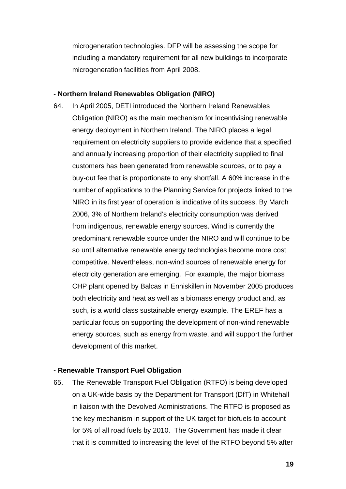microgeneration technologies. DFP will be assessing the scope for including a mandatory requirement for all new buildings to incorporate microgeneration facilities from April 2008.

#### **- Northern Ireland Renewables Obligation (NIRO)**

64. In April 2005, DETI introduced the Northern Ireland Renewables Obligation (NIRO) as the main mechanism for incentivising renewable energy deployment in Northern Ireland. The NIRO places a legal requirement on electricity suppliers to provide evidence that a specified and annually increasing proportion of their electricity supplied to final customers has been generated from renewable sources, or to pay a buy-out fee that is proportionate to any shortfall. A 60% increase in the number of applications to the Planning Service for projects linked to the NIRO in its first year of operation is indicative of its success. By March 2006, 3% of Northern Ireland's electricity consumption was derived from indigenous, renewable energy sources. Wind is currently the predominant renewable source under the NIRO and will continue to be so until alternative renewable energy technologies become more cost competitive. Nevertheless, non-wind sources of renewable energy for electricity generation are emerging. For example, the major biomass CHP plant opened by Balcas in Enniskillen in November 2005 produces both electricity and heat as well as a biomass energy product and, as such, is a world class sustainable energy example. The EREF has a particular focus on supporting the development of non-wind renewable energy sources, such as energy from waste, and will support the further development of this market.

#### **- Renewable Transport Fuel Obligation**

65. The Renewable Transport Fuel Obligation (RTFO) is being developed on a UK-wide basis by the Department for Transport (DfT) in Whitehall in liaison with the Devolved Administrations. The RTFO is proposed as the key mechanism in support of the UK target for biofuels to account for 5% of all road fuels by 2010. The Government has made it clear that it is committed to increasing the level of the RTFO beyond 5% after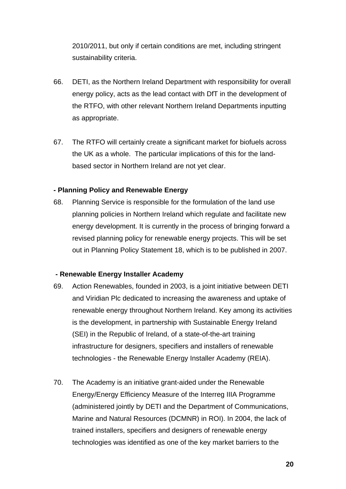2010/2011, but only if certain conditions are met, including stringent sustainability criteria.

- 66. DETI, as the Northern Ireland Department with responsibility for overall energy policy, acts as the lead contact with DfT in the development of the RTFO, with other relevant Northern Ireland Departments inputting as appropriate.
- 67. The RTFO will certainly create a significant market for biofuels across the UK as a whole. The particular implications of this for the landbased sector in Northern Ireland are not yet clear.

### **- Planning Policy and Renewable Energy**

68. Planning Service is responsible for the formulation of the land use planning policies in Northern Ireland which regulate and facilitate new energy development. It is currently in the process of bringing forward a revised planning policy for renewable energy projects. This will be set out in Planning Policy Statement 18, which is to be published in 2007.

#### **- Renewable Energy Installer Academy**

- 69. Action Renewables, founded in 2003, is a joint initiative between DETI and Viridian Plc dedicated to increasing the awareness and uptake of renewable energy throughout Northern Ireland. Key among its activities is the development, in partnership with Sustainable Energy Ireland (SEI) in the Republic of Ireland, of a state-of-the-art training infrastructure for designers, specifiers and installers of renewable technologies - the Renewable Energy Installer Academy (REIA).
- 70. The Academy is an initiative grant-aided under the Renewable Energy/Energy Efficiency Measure of the Interreg IIIA Programme (administered jointly by DETI and the Department of Communications, Marine and Natural Resources (DCMNR) in ROI). In 2004, the lack of trained installers, specifiers and designers of renewable energy technologies was identified as one of the key market barriers to the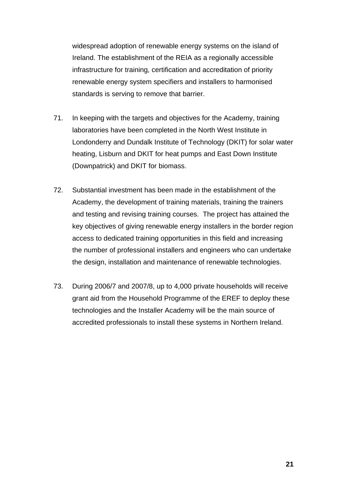widespread adoption of renewable energy systems on the island of Ireland. The establishment of the REIA as a regionally accessible infrastructure for training, certification and accreditation of priority renewable energy system specifiers and installers to harmonised standards is serving to remove that barrier.

- 71. In keeping with the targets and objectives for the Academy, training laboratories have been completed in the North West Institute in Londonderry and Dundalk Institute of Technology (DKIT) for solar water heating, Lisburn and DKIT for heat pumps and East Down Institute (Downpatrick) and DKIT for biomass.
- 72. Substantial investment has been made in the establishment of the Academy, the development of training materials, training the trainers and testing and revising training courses. The project has attained the key objectives of giving renewable energy installers in the border region access to dedicated training opportunities in this field and increasing the number of professional installers and engineers who can undertake the design, installation and maintenance of renewable technologies.
- 73. During 2006/7 and 2007/8, up to 4,000 private households will receive grant aid from the Household Programme of the EREF to deploy these technologies and the Installer Academy will be the main source of accredited professionals to install these systems in Northern Ireland.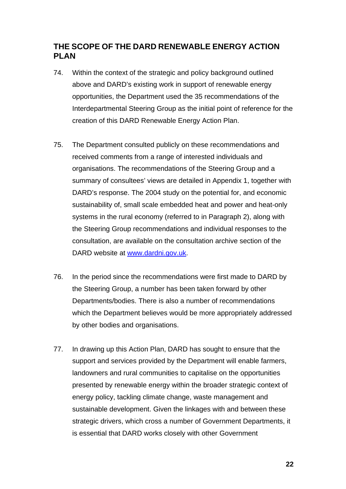# **THE SCOPE OF THE DARD RENEWABLE ENERGY ACTION PLAN**

- 74. Within the context of the strategic and policy background outlined above and DARD's existing work in support of renewable energy opportunities, the Department used the 35 recommendations of the Interdepartmental Steering Group as the initial point of reference for the creation of this DARD Renewable Energy Action Plan.
- 75. The Department consulted publicly on these recommendations and received comments from a range of interested individuals and organisations. The recommendations of the Steering Group and a summary of consultees' views are detailed in Appendix 1, together with DARD's response. The 2004 study on the potential for, and economic sustainability of, small scale embedded heat and power and heat-only systems in the rural economy (referred to in Paragraph 2), along with the Steering Group recommendations and individual responses to the consultation, are available on the consultation archive section of the DARD website at www.dardni.gov.uk.
- 76. In the period since the recommendations were first made to DARD by the Steering Group, a number has been taken forward by other Departments/bodies. There is also a number of recommendations which the Department believes would be more appropriately addressed by other bodies and organisations.
- 77. In drawing up this Action Plan, DARD has sought to ensure that the support and services provided by the Department will enable farmers, landowners and rural communities to capitalise on the opportunities presented by renewable energy within the broader strategic context of energy policy, tackling climate change, waste management and sustainable development. Given the linkages with and between these strategic drivers, which cross a number of Government Departments, it is essential that DARD works closely with other Government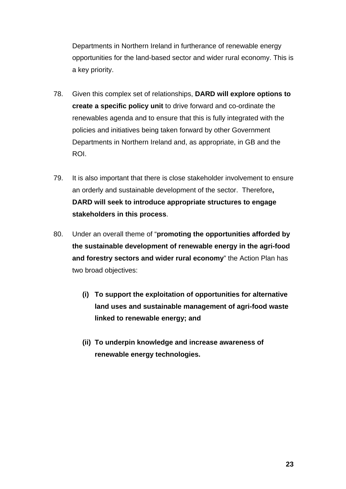Departments in Northern Ireland in furtherance of renewable energy opportunities for the land-based sector and wider rural economy. This is a key priority.

- 78. Given this complex set of relationships, **DARD will explore options to create a specific policy unit** to drive forward and co-ordinate the renewables agenda and to ensure that this is fully integrated with the policies and initiatives being taken forward by other Government Departments in Northern Ireland and, as appropriate, in GB and the ROI.
- 79. It is also important that there is close stakeholder involvement to ensure an orderly and sustainable development of the sector. Therefore**, DARD will seek to introduce appropriate structures to engage stakeholders in this process**.
- 80. Under an overall theme of "**promoting the opportunities afforded by the sustainable development of renewable energy in the agri-food and forestry sectors and wider rural economy**" the Action Plan has two broad objectives:
	- **(i) To support the exploitation of opportunities for alternative land uses and sustainable management of agri-food waste linked to renewable energy; and**
	- **(ii) To underpin knowledge and increase awareness of renewable energy technologies.**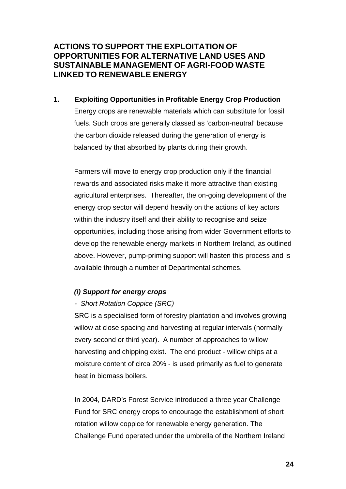# **ACTIONS TO SUPPORT THE EXPLOITATION OF OPPORTUNITIES FOR ALTERNATIVE LAND USES AND SUSTAINABLE MANAGEMENT OF AGRI-FOOD WASTE LINKED TO RENEWABLE ENERGY**

**1. Exploiting Opportunities in Profitable Energy Crop Production**  Energy crops are renewable materials which can substitute for fossil fuels. Such crops are generally classed as 'carbon-neutral' because the carbon dioxide released during the generation of energy is balanced by that absorbed by plants during their growth.

Farmers will move to energy crop production only if the financial rewards and associated risks make it more attractive than existing agricultural enterprises. Thereafter, the on-going development of the energy crop sector will depend heavily on the actions of key actors within the industry itself and their ability to recognise and seize opportunities, including those arising from wider Government efforts to develop the renewable energy markets in Northern Ireland, as outlined above. However, pump-priming support will hasten this process and is available through a number of Departmental schemes.

## *(i) Support for energy crops*

## *- Short Rotation Coppice (SRC)*

SRC is a specialised form of forestry plantation and involves growing willow at close spacing and harvesting at regular intervals (normally every second or third year). A number of approaches to willow harvesting and chipping exist. The end product - willow chips at a moisture content of circa 20% - is used primarily as fuel to generate heat in biomass boilers.

In 2004, DARD's Forest Service introduced a three year Challenge Fund for SRC energy crops to encourage the establishment of short rotation willow coppice for renewable energy generation. The Challenge Fund operated under the umbrella of the Northern Ireland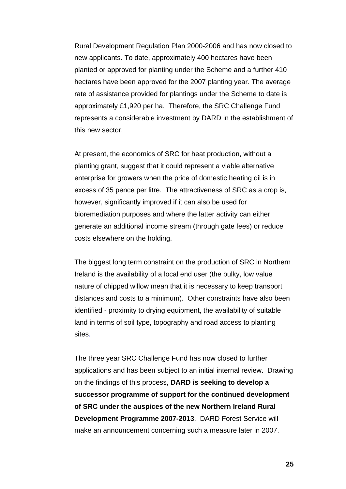Rural Development Regulation Plan 2000-2006 and has now closed to new applicants. To date, approximately 400 hectares have been planted or approved for planting under the Scheme and a further 410 hectares have been approved for the 2007 planting year. The average rate of assistance provided for plantings under the Scheme to date is approximately £1,920 per ha. Therefore, the SRC Challenge Fund represents a considerable investment by DARD in the establishment of this new sector.

At present, the economics of SRC for heat production, without a planting grant, suggest that it could represent a viable alternative enterprise for growers when the price of domestic heating oil is in excess of 35 pence per litre. The attractiveness of SRC as a crop is, however, significantly improved if it can also be used for bioremediation purposes and where the latter activity can either generate an additional income stream (through gate fees) or reduce costs elsewhere on the holding.

The biggest long term constraint on the production of SRC in Northern Ireland is the availability of a local end user (the bulky, low value nature of chipped willow mean that it is necessary to keep transport distances and costs to a minimum). Other constraints have also been identified - proximity to drying equipment, the availability of suitable land in terms of soil type, topography and road access to planting sites.

The three year SRC Challenge Fund has now closed to further applications and has been subject to an initial internal review. Drawing on the findings of this process, **DARD is seeking to develop a successor programme of support for the continued development of SRC under the auspices of the new Northern Ireland Rural Development Programme 2007-2013**. DARD Forest Service will make an announcement concerning such a measure later in 2007.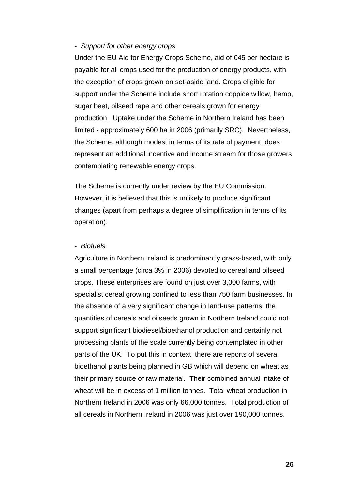#### *- Support for other energy crops*

Under the EU Aid for Energy Crops Scheme, aid of €45 per hectare is payable for all crops used for the production of energy products, with the exception of crops grown on set-aside land. Crops eligible for support under the Scheme include short rotation coppice willow, hemp, sugar beet, oilseed rape and other cereals grown for energy production. Uptake under the Scheme in Northern Ireland has been limited - approximately 600 ha in 2006 (primarily SRC). Nevertheless, the Scheme, although modest in terms of its rate of payment, does represent an additional incentive and income stream for those growers contemplating renewable energy crops.

The Scheme is currently under review by the EU Commission. However, it is believed that this is unlikely to produce significant changes (apart from perhaps a degree of simplification in terms of its operation).

#### *- Biofuels*

Agriculture in Northern Ireland is predominantly grass-based, with only a small percentage (circa 3% in 2006) devoted to cereal and oilseed crops. These enterprises are found on just over 3,000 farms, with specialist cereal growing confined to less than 750 farm businesses. In the absence of a very significant change in land-use patterns, the quantities of cereals and oilseeds grown in Northern Ireland could not support significant biodiesel/bioethanol production and certainly not processing plants of the scale currently being contemplated in other parts of the UK. To put this in context, there are reports of several bioethanol plants being planned in GB which will depend on wheat as their primary source of raw material. Their combined annual intake of wheat will be in excess of 1 million tonnes. Total wheat production in Northern Ireland in 2006 was only 66,000 tonnes. Total production of all cereals in Northern Ireland in 2006 was just over 190,000 tonnes.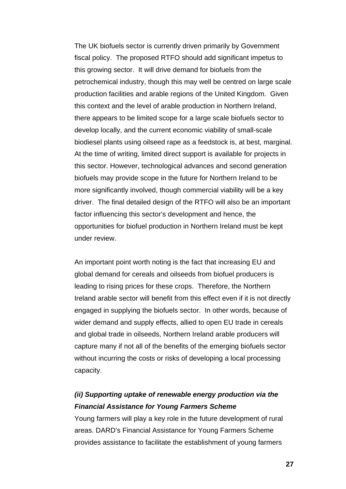The UK biofuels sector is currently driven primarily by Government fiscal policy. The proposed RTFO should add significant impetus to this growing sector. It will drive demand for biofuels from the petrochemical industry, though this may well be centred on large scale production facilities and arable regions of the United Kingdom. Given this context and the level of arable production in Northern Ireland, there appears to be limited scope for a large scale biofuels sector to develop locally, and the current economic viability of small-scale biodiesel plants using oilseed rape as a feedstock is, at best, marginal. At the time of writing, limited direct support is available for projects in this sector. However, technological advances and second generation biofuels may provide scope in the future for Northern Ireland to be more significantly involved, though commercial viability will be a key driver. The final detailed design of the RTFO will also be an important factor influencing this sector's development and hence, the opportunities for biofuel production in Northern Ireland must be kept under review.

An important point worth noting is the fact that increasing EU and global demand for cereals and oilseeds from biofuel producers is leading to rising prices for these crops. Therefore, the Northern Ireland arable sector will benefit from this effect even if it is not directly engaged in supplying the biofuels sector. In other words, because of wider demand and supply effects, allied to open EU trade in cereals and global trade in oilseeds, Northern Ireland arable producers will capture many if not all of the benefits of the emerging biofuels sector without incurring the costs or risks of developing a local processing capacity.

# *(ii) Supporting uptake of renewable energy production via the Financial Assistance for Young Farmers Scheme*

Young farmers will play a key role in the future development of rural areas. DARD's Financial Assistance for Young Farmers Scheme provides assistance to facilitate the establishment of young farmers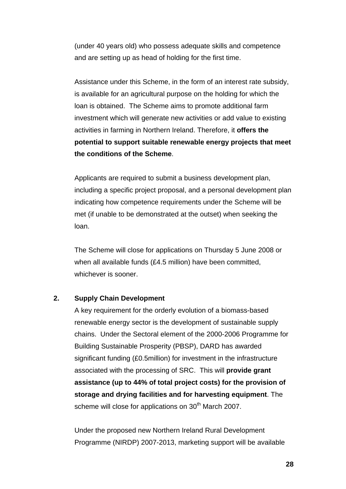(under 40 years old) who possess adequate skills and competence and are setting up as head of holding for the first time.

 Assistance under this Scheme, in the form of an interest rate subsidy, is available for an agricultural purpose on the holding for which the loan is obtained. The Scheme aims to promote additional farm investment which will generate new activities or add value to existing activities in farming in Northern Ireland. Therefore, it **offers the potential to support suitable renewable energy projects that meet the conditions of the Scheme**.

 Applicants are required to submit a business development plan, including a specific project proposal, and a personal development plan indicating how competence requirements under the Scheme will be met (if unable to be demonstrated at the outset) when seeking the loan.

The Scheme will close for applications on Thursday 5 June 2008 or when all available funds (£4.5 million) have been committed, whichever is sooner.

#### **2. Supply Chain Development**

A key requirement for the orderly evolution of a biomass-based renewable energy sector is the development of sustainable supply chains. Under the Sectoral element of the 2000-2006 Programme for Building Sustainable Prosperity (PBSP), DARD has awarded significant funding (£0.5million) for investment in the infrastructure associated with the processing of SRC. This will **provide grant assistance (up to 44% of total project costs) for the provision of storage and drying facilities and for harvesting equipment**. The scheme will close for applications on 30<sup>th</sup> March 2007.

Under the proposed new Northern Ireland Rural Development Programme (NIRDP) 2007-2013, marketing support will be available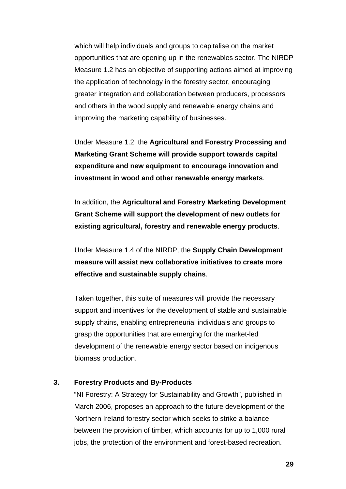which will help individuals and groups to capitalise on the market opportunities that are opening up in the renewables sector. The NIRDP Measure 1.2 has an objective of supporting actions aimed at improving the application of technology in the forestry sector, encouraging greater integration and collaboration between producers, processors and others in the wood supply and renewable energy chains and improving the marketing capability of businesses.

Under Measure 1.2, the **Agricultural and Forestry Processing and Marketing Grant Scheme will provide support towards capital expenditure and new equipment to encourage innovation and investment in wood and other renewable energy markets**.

In addition, the **Agricultural and Forestry Marketing Development Grant Scheme will support the development of new outlets for existing agricultural, forestry and renewable energy products**.

Under Measure 1.4 of the NIRDP, the **Supply Chain Development measure will assist new collaborative initiatives to create more effective and sustainable supply chains**.

Taken together, this suite of measures will provide the necessary support and incentives for the development of stable and sustainable supply chains, enabling entrepreneurial individuals and groups to grasp the opportunities that are emerging for the market-led development of the renewable energy sector based on indigenous biomass production.

#### **3. Forestry Products and By-Products**

"NI Forestry: A Strategy for Sustainability and Growth", published in March 2006, proposes an approach to the future development of the Northern Ireland forestry sector which seeks to strike a balance between the provision of timber, which accounts for up to 1,000 rural jobs, the protection of the environment and forest-based recreation.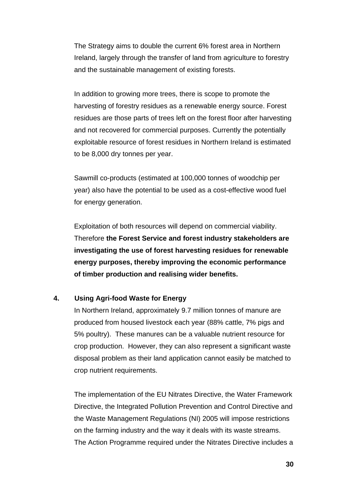The Strategy aims to double the current 6% forest area in Northern Ireland, largely through the transfer of land from agriculture to forestry and the sustainable management of existing forests.

In addition to growing more trees, there is scope to promote the harvesting of forestry residues as a renewable energy source. Forest residues are those parts of trees left on the forest floor after harvesting and not recovered for commercial purposes. Currently the potentially exploitable resource of forest residues in Northern Ireland is estimated to be 8,000 dry tonnes per year.

Sawmill co-products (estimated at 100,000 tonnes of woodchip per year) also have the potential to be used as a cost-effective wood fuel for energy generation.

Exploitation of both resources will depend on commercial viability. Therefore **the Forest Service and forest industry stakeholders are investigating the use of forest harvesting residues for renewable energy purposes, thereby improving the economic performance of timber production and realising wider benefits.**

### **4. Using Agri-food Waste for Energy**

In Northern Ireland, approximately 9.7 million tonnes of manure are produced from housed livestock each year (88% cattle, 7% pigs and 5% poultry). These manures can be a valuable nutrient resource for crop production. However, they can also represent a significant waste disposal problem as their land application cannot easily be matched to crop nutrient requirements.

The implementation of the EU Nitrates Directive, the Water Framework Directive, the Integrated Pollution Prevention and Control Directive and the Waste Management Regulations (NI) 2005 will impose restrictions on the farming industry and the way it deals with its waste streams. The Action Programme required under the Nitrates Directive includes a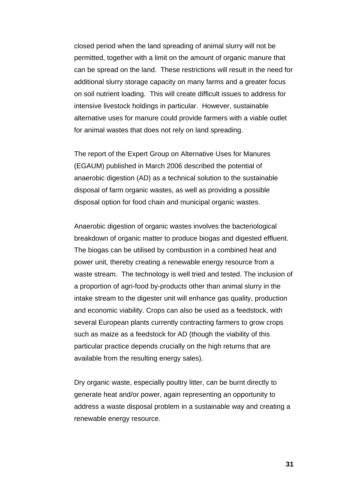closed period when the land spreading of animal slurry will not be permitted, together with a limit on the amount of organic manure that can be spread on the land. These restrictions will result in the need for additional slurry storage capacity on many farms and a greater focus on soil nutrient loading. This will create difficult issues to address for intensive livestock holdings in particular. However, sustainable alternative uses for manure could provide farmers with a viable outlet for animal wastes that does not rely on land spreading.

The report of the Expert Group on Alternative Uses for Manures (EGAUM) published in March 2006 described the potential of anaerobic digestion (AD) as a technical solution to the sustainable disposal of farm organic wastes, as well as providing a possible disposal option for food chain and municipal organic wastes.

Anaerobic digestion of organic wastes involves the bacteriological breakdown of organic matter to produce biogas and digested effluent. The biogas can be utilised by combustion in a combined heat and power unit, thereby creating a renewable energy resource from a waste stream. The technology is well tried and tested. The inclusion of a proportion of agri-food by-products other than animal slurry in the intake stream to the digester unit will enhance gas quality, production and economic viability. Crops can also be used as a feedstock, with several European plants currently contracting farmers to grow crops such as maize as a feedstock for AD (though the viability of this particular practice depends crucially on the high returns that are available from the resulting energy sales).

Dry organic waste, especially poultry litter, can be burnt directly to generate heat and/or power, again representing an opportunity to address a waste disposal problem in a sustainable way and creating a renewable energy resource.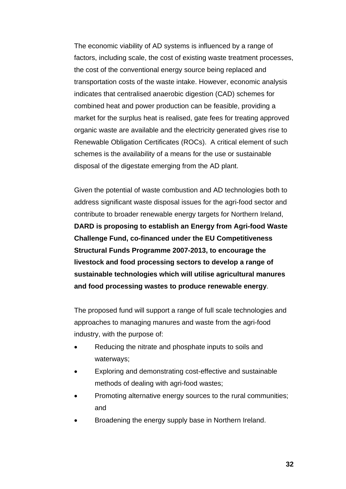The economic viability of AD systems is influenced by a range of factors, including scale, the cost of existing waste treatment processes, the cost of the conventional energy source being replaced and transportation costs of the waste intake. However, economic analysis indicates that centralised anaerobic digestion (CAD) schemes for combined heat and power production can be feasible, providing a market for the surplus heat is realised, gate fees for treating approved organic waste are available and the electricity generated gives rise to Renewable Obligation Certificates (ROCs). A critical element of such schemes is the availability of a means for the use or sustainable disposal of the digestate emerging from the AD plant.

Given the potential of waste combustion and AD technologies both to address significant waste disposal issues for the agri-food sector and contribute to broader renewable energy targets for Northern Ireland, **DARD is proposing to establish an Energy from Agri-food Waste Challenge Fund, co-financed under the EU Competitiveness Structural Funds Programme 2007-2013, to encourage the livestock and food processing sectors to develop a range of sustainable technologies which will utilise agricultural manures and food processing wastes to produce renewable energy**.

The proposed fund will support a range of full scale technologies and approaches to managing manures and waste from the agri-food industry, with the purpose of:

- Reducing the nitrate and phosphate inputs to soils and waterways;
- Exploring and demonstrating cost-effective and sustainable methods of dealing with agri-food wastes;
- Promoting alternative energy sources to the rural communities; and
- Broadening the energy supply base in Northern Ireland.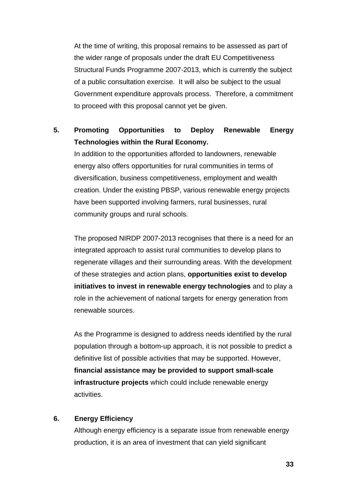At the time of writing, this proposal remains to be assessed as part of the wider range of proposals under the draft EU Competitiveness Structural Funds Programme 2007-2013, which is currently the subject of a public consultation exercise. It will also be subject to the usual Government expenditure approvals process. Therefore, a commitment to proceed with this proposal cannot yet be given.

# **5. Promoting Opportunities to Deploy Renewable Energy Technologies within the Rural Economy.**

In addition to the opportunities afforded to landowners, renewable energy also offers opportunities for rural communities in terms of diversification, business competitiveness, employment and wealth creation. Under the existing PBSP, various renewable energy projects have been supported involving farmers, rural businesses, rural community groups and rural schools.

The proposed NIRDP 2007-2013 recognises that there is a need for an integrated approach to assist rural communities to develop plans to regenerate villages and their surrounding areas. With the development of these strategies and action plans, **opportunities exist to develop initiatives to invest in renewable energy technologies** and to play a role in the achievement of national targets for energy generation from renewable sources.

As the Programme is designed to address needs identified by the rural population through a bottom-up approach, it is not possible to predict a definitive list of possible activities that may be supported. However, **financial assistance may be provided to support small-scale infrastructure projects** which could include renewable energy activities.

#### **6. Energy Efficiency**

Although energy efficiency is a separate issue from renewable energy production, it is an area of investment that can yield significant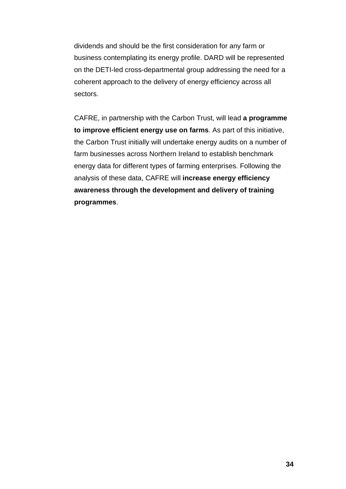dividends and should be the first consideration for any farm or business contemplating its energy profile. DARD will be represented on the DETI-led cross-departmental group addressing the need for a coherent approach to the delivery of energy efficiency across all sectors.

CAFRE, in partnership with the Carbon Trust, will lead **a programme to improve efficient energy use on farms**. As part of this initiative, the Carbon Trust initially will undertake energy audits on a number of farm businesses across Northern Ireland to establish benchmark energy data for different types of farming enterprises. Following the analysis of these data, CAFRE will **increase energy efficiency awareness through the development and delivery of training programmes**.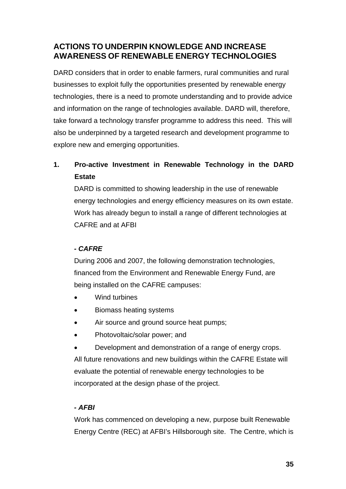# **ACTIONS TO UNDERPIN KNOWLEDGE AND INCREASE AWARENESS OF RENEWABLE ENERGY TECHNOLOGIES**

DARD considers that in order to enable farmers, rural communities and rural businesses to exploit fully the opportunities presented by renewable energy technologies, there is a need to promote understanding and to provide advice and information on the range of technologies available. DARD will, therefore, take forward a technology transfer programme to address this need. This will also be underpinned by a targeted research and development programme to explore new and emerging opportunities.

# **1. Pro-active Investment in Renewable Technology in the DARD Estate**

DARD is committed to showing leadership in the use of renewable energy technologies and energy efficiency measures on its own estate. Work has already begun to install a range of different technologies at CAFRE and at AFBI

# *- CAFRE*

During 2006 and 2007, the following demonstration technologies, financed from the Environment and Renewable Energy Fund, are being installed on the CAFRE campuses:

- Wind turbines
- Biomass heating systems
- Air source and ground source heat pumps;
- Photovoltaic/solar power; and
- Development and demonstration of a range of energy crops.

All future renovations and new buildings within the CAFRE Estate will evaluate the potential of renewable energy technologies to be incorporated at the design phase of the project.

# *- AFBI*

Work has commenced on developing a new, purpose built Renewable Energy Centre (REC) at AFBI's Hillsborough site. The Centre, which is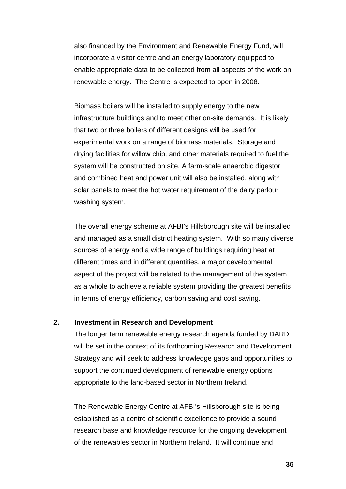also financed by the Environment and Renewable Energy Fund, will incorporate a visitor centre and an energy laboratory equipped to enable appropriate data to be collected from all aspects of the work on renewable energy. The Centre is expected to open in 2008.

Biomass boilers will be installed to supply energy to the new infrastructure buildings and to meet other on-site demands. It is likely that two or three boilers of different designs will be used for experimental work on a range of biomass materials. Storage and drying facilities for willow chip, and other materials required to fuel the system will be constructed on site. A farm-scale anaerobic digestor and combined heat and power unit will also be installed, along with solar panels to meet the hot water requirement of the dairy parlour washing system.

The overall energy scheme at AFBI's Hillsborough site will be installed and managed as a small district heating system. With so many diverse sources of energy and a wide range of buildings requiring heat at different times and in different quantities, a major developmental aspect of the project will be related to the management of the system as a whole to achieve a reliable system providing the greatest benefits in terms of energy efficiency, carbon saving and cost saving.

### **2. Investment in Research and Development**

The longer term renewable energy research agenda funded by DARD will be set in the context of its forthcoming Research and Development Strategy and will seek to address knowledge gaps and opportunities to support the continued development of renewable energy options appropriate to the land-based sector in Northern Ireland.

The Renewable Energy Centre at AFBI's Hillsborough site is being established as a centre of scientific excellence to provide a sound research base and knowledge resource for the ongoing development of the renewables sector in Northern Ireland. It will continue and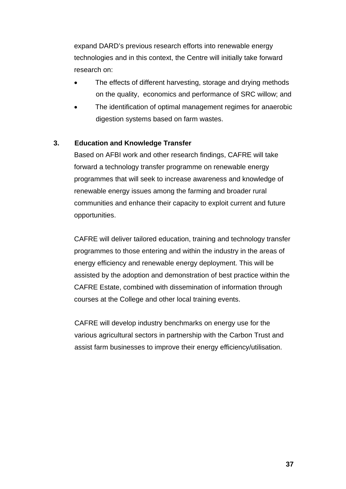expand DARD's previous research efforts into renewable energy technologies and in this context, the Centre will initially take forward research on:

- The effects of different harvesting, storage and drying methods on the quality, economics and performance of SRC willow; and
- The identification of optimal management regimes for anaerobic digestion systems based on farm wastes.

### **3. Education and Knowledge Transfer**

Based on AFBI work and other research findings, CAFRE will take forward a technology transfer programme on renewable energy programmes that will seek to increase awareness and knowledge of renewable energy issues among the farming and broader rural communities and enhance their capacity to exploit current and future opportunities.

CAFRE will deliver tailored education, training and technology transfer programmes to those entering and within the industry in the areas of energy efficiency and renewable energy deployment. This will be assisted by the adoption and demonstration of best practice within the CAFRE Estate, combined with dissemination of information through courses at the College and other local training events.

CAFRE will develop industry benchmarks on energy use for the various agricultural sectors in partnership with the Carbon Trust and assist farm businesses to improve their energy efficiency/utilisation.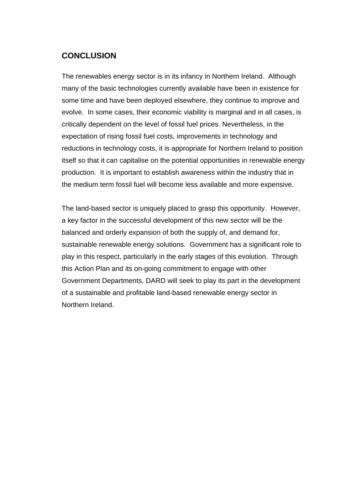# **CONCLUSION**

The renewables energy sector is in its infancy in Northern Ireland. Although many of the basic technologies currently available have been in existence for some time and have been deployed elsewhere, they continue to improve and evolve. In some cases, their economic viability is marginal and in all cases, is critically dependent on the level of fossil fuel prices. Nevertheless, in the expectation of rising fossil fuel costs, improvements in technology and reductions in technology costs, it is appropriate for Northern Ireland to position itself so that it can capitalise on the potential opportunities in renewable energy production. It is important to establish awareness within the industry that in the medium term fossil fuel will become less available and more expensive.

The land-based sector is uniquely placed to grasp this opportunity. However, a key factor in the successful development of this new sector will be the balanced and orderly expansion of both the supply of, and demand for, sustainable renewable energy solutions. Government has a significant role to play in this respect, particularly in the early stages of this evolution. Through this Action Plan and its on-going commitment to engage with other Government Departments, DARD will seek to play its part in the development of a sustainable and profitable land-based renewable energy sector in Northern Ireland.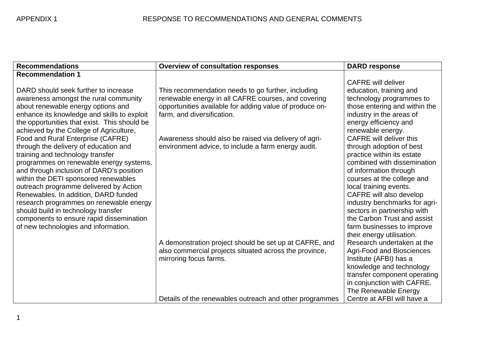| <b>Recommendations</b>                                                           | <b>Overview of consultation responses</b>               | <b>DARD response</b>                                       |
|----------------------------------------------------------------------------------|---------------------------------------------------------|------------------------------------------------------------|
| <b>Recommendation 1</b>                                                          |                                                         |                                                            |
|                                                                                  |                                                         | <b>CAFRE</b> will deliver                                  |
| DARD should seek further to increase                                             | This recommendation needs to go further, including      | education, training and                                    |
| awareness amongst the rural community                                            | renewable energy in all CAFRE courses, and covering     | technology programmes to                                   |
| about renewable energy options and                                               | opportunities available for adding value of produce on- | those entering and within the                              |
| enhance its knowledge and skills to exploit                                      | farm, and diversification.                              | industry in the areas of                                   |
| the opportunities that exist. This should be                                     |                                                         | energy efficiency and                                      |
| achieved by the College of Agriculture,                                          |                                                         | renewable energy.                                          |
| Food and Rural Enterprise (CAFRE)                                                | Awareness should also be raised via delivery of agri-   | CAFRE will deliver this                                    |
| through the delivery of education and                                            | environment advice, to include a farm energy audit.     | through adoption of best                                   |
| training and technology transfer                                                 |                                                         | practice within its estate                                 |
| programmes on renewable energy systems,                                          |                                                         | combined with dissemination                                |
| and through inclusion of DARD's position                                         |                                                         | of information through                                     |
| within the DETI sponsored renewables                                             |                                                         | courses at the college and                                 |
| outreach programme delivered by Action                                           |                                                         | local training events.                                     |
| Renewables. In addition, DARD funded                                             |                                                         | CAFRE will also develop                                    |
| research programmes on renewable energy                                          |                                                         | industry benchmarks for agri-                              |
| should build in technology transfer                                              |                                                         | sectors in partnership with<br>the Carbon Trust and assist |
| components to ensure rapid dissemination<br>of new technologies and information. |                                                         | farm businesses to improve                                 |
|                                                                                  |                                                         | their energy utilisation.                                  |
|                                                                                  | A demonstration project should be set up at CAFRE, and  | Research undertaken at the                                 |
|                                                                                  | also commercial projects situated across the province,  | Agri-Food and Biosciences                                  |
|                                                                                  | mirroring focus farms.                                  | Institute (AFBI) has a                                     |
|                                                                                  |                                                         | knowledge and technology                                   |
|                                                                                  |                                                         | transfer component operating                               |
|                                                                                  |                                                         | in conjunction with CAFRE.                                 |
|                                                                                  |                                                         | The Renewable Energy                                       |
|                                                                                  | Details of the renewables outreach and other programmes | Centre at AFBI will have a                                 |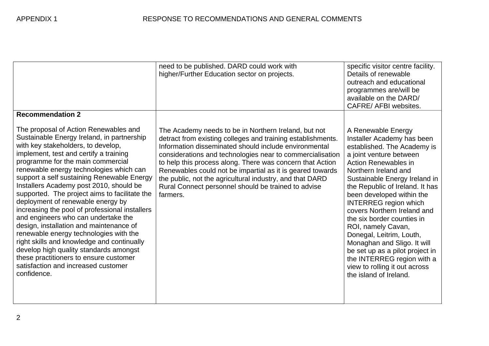|                                                                                                                                                                                                                                                                                                                                                                                                                                                                                                                                                                                                                                                                                                                                                                                                                                     | need to be published. DARD could work with<br>higher/Further Education sector on projects.                                                                                                                                                                                                                                                                                                                                                                                                         | specific visitor centre facility.<br>Details of renewable<br>outreach and educational<br>programmes are/will be<br>available on the DARD/<br>CAFRE/ AFBI websites.                                                                                                                                                                                                                                                                                                                                                                                                           |
|-------------------------------------------------------------------------------------------------------------------------------------------------------------------------------------------------------------------------------------------------------------------------------------------------------------------------------------------------------------------------------------------------------------------------------------------------------------------------------------------------------------------------------------------------------------------------------------------------------------------------------------------------------------------------------------------------------------------------------------------------------------------------------------------------------------------------------------|----------------------------------------------------------------------------------------------------------------------------------------------------------------------------------------------------------------------------------------------------------------------------------------------------------------------------------------------------------------------------------------------------------------------------------------------------------------------------------------------------|------------------------------------------------------------------------------------------------------------------------------------------------------------------------------------------------------------------------------------------------------------------------------------------------------------------------------------------------------------------------------------------------------------------------------------------------------------------------------------------------------------------------------------------------------------------------------|
| <b>Recommendation 2</b><br>The proposal of Action Renewables and<br>Sustainable Energy Ireland, in partnership<br>with key stakeholders, to develop,<br>implement, test and certify a training<br>programme for the main commercial<br>renewable energy technologies which can<br>support a self sustaining Renewable Energy<br>Installers Academy post 2010, should be<br>supported. The project aims to facilitate the<br>deployment of renewable energy by<br>increasing the pool of professional installers<br>and engineers who can undertake the<br>design, installation and maintenance of<br>renewable energy technologies with the<br>right skills and knowledge and continually<br>develop high quality standards amongst<br>these practitioners to ensure customer<br>satisfaction and increased customer<br>confidence. | The Academy needs to be in Northern Ireland, but not<br>detract from existing colleges and training establishments.<br>Information disseminated should include environmental<br>considerations and technologies near to commercialisation<br>to help this process along. There was concern that Action<br>Renewables could not be impartial as it is geared towards<br>the public, not the agricultural industry, and that DARD<br>Rural Connect personnel should be trained to advise<br>farmers. | A Renewable Energy<br>Installer Academy has been<br>established. The Academy is<br>a joint venture between<br><b>Action Renewables in</b><br>Northern Ireland and<br>Sustainable Energy Ireland in<br>the Republic of Ireland. It has<br>been developed within the<br><b>INTERREG</b> region which<br>covers Northern Ireland and<br>the six border counties in<br>ROI, namely Cavan,<br>Donegal, Leitrim, Louth,<br>Monaghan and Sligo. It will<br>be set up as a pilot project in<br>the INTERREG region with a<br>view to rolling it out across<br>the island of Ireland. |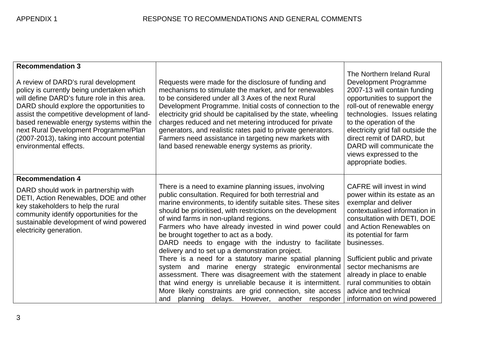| <b>Recommendation 3</b>                                                                                                                                                                                                                                                                                                                                                                     |                                                                                                                                                                                                                                                                                                                                                                                                                                                                                                                                                                                                                                                                                                                                                                                                                                                             |                                                                                                                                                                                                                                                                                                                                                                                                              |
|---------------------------------------------------------------------------------------------------------------------------------------------------------------------------------------------------------------------------------------------------------------------------------------------------------------------------------------------------------------------------------------------|-------------------------------------------------------------------------------------------------------------------------------------------------------------------------------------------------------------------------------------------------------------------------------------------------------------------------------------------------------------------------------------------------------------------------------------------------------------------------------------------------------------------------------------------------------------------------------------------------------------------------------------------------------------------------------------------------------------------------------------------------------------------------------------------------------------------------------------------------------------|--------------------------------------------------------------------------------------------------------------------------------------------------------------------------------------------------------------------------------------------------------------------------------------------------------------------------------------------------------------------------------------------------------------|
| A review of DARD's rural development<br>policy is currently being undertaken which<br>will define DARD's future role in this area.<br>DARD should explore the opportunities to<br>assist the competitive development of land-<br>based renewable energy systems within the<br>next Rural Development Programme/Plan<br>(2007-2013), taking into account potential<br>environmental effects. | Requests were made for the disclosure of funding and<br>mechanisms to stimulate the market, and for renewables<br>to be considered under all 3 Axes of the next Rural<br>Development Programme. Initial costs of connection to the<br>electricity grid should be capitalised by the state, wheeling<br>charges reduced and net metering introduced for private<br>generators, and realistic rates paid to private generators.<br>Farmers need assistance in targeting new markets with<br>land based renewable energy systems as priority.                                                                                                                                                                                                                                                                                                                  | The Northern Ireland Rural<br>Development Programme<br>2007-13 will contain funding<br>opportunities to support the<br>roll-out of renewable energy<br>technologies. Issues relating<br>to the operation of the<br>electricity grid fall outside the<br>direct remit of DARD, but<br>DARD will communicate the<br>views expressed to the<br>appropriate bodies.                                              |
| <b>Recommendation 4</b>                                                                                                                                                                                                                                                                                                                                                                     |                                                                                                                                                                                                                                                                                                                                                                                                                                                                                                                                                                                                                                                                                                                                                                                                                                                             |                                                                                                                                                                                                                                                                                                                                                                                                              |
| DARD should work in partnership with<br>DETI, Action Renewables, DOE and other<br>key stakeholders to help the rural<br>community identify opportunities for the<br>sustainable development of wind powered<br>electricity generation.                                                                                                                                                      | There is a need to examine planning issues, involving<br>public consultation. Required for both terrestrial and<br>marine environments, to identify suitable sites. These sites<br>should be prioritised, with restrictions on the development<br>of wind farms in non-upland regions.<br>Farmers who have already invested in wind power could<br>be brought together to act as a body.<br>DARD needs to engage with the industry to facilitate<br>delivery and to set up a demonstration project.<br>There is a need for a statutory marine spatial planning<br>system and marine energy strategic environmental<br>assessment. There was disagreement with the statement<br>that wind energy is unreliable because it is intermittent.<br>More likely constraints are grid connection, site access<br>planning delays. However, another responder<br>and | <b>CAFRE</b> will invest in wind<br>power within its estate as an<br>exemplar and deliver<br>contextualised information in<br>consultation with DETI, DOE<br>and Action Renewables on<br>its potential for farm<br>businesses.<br>Sufficient public and private<br>sector mechanisms are<br>already in place to enable<br>rural communities to obtain<br>advice and technical<br>information on wind powered |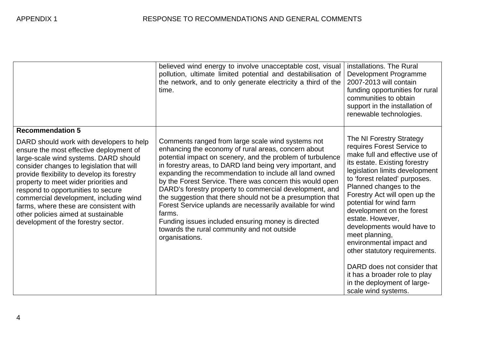|                                                                                                                                                                                                                                                                                                                                                                                                                                                                                                      | believed wind energy to involve unacceptable cost, visual<br>pollution, ultimate limited potential and destabilisation of<br>the network, and to only generate electricity a third of the<br>time.                                                                                                                                                                                                                                                                                                                                                                                                                                                                               | installations. The Rural<br>Development Programme<br>2007-2013 will contain<br>funding opportunities for rural<br>communities to obtain<br>support in the installation of<br>renewable technologies.                                                                                                                                                                                                                                                                                                                                                                   |
|------------------------------------------------------------------------------------------------------------------------------------------------------------------------------------------------------------------------------------------------------------------------------------------------------------------------------------------------------------------------------------------------------------------------------------------------------------------------------------------------------|----------------------------------------------------------------------------------------------------------------------------------------------------------------------------------------------------------------------------------------------------------------------------------------------------------------------------------------------------------------------------------------------------------------------------------------------------------------------------------------------------------------------------------------------------------------------------------------------------------------------------------------------------------------------------------|------------------------------------------------------------------------------------------------------------------------------------------------------------------------------------------------------------------------------------------------------------------------------------------------------------------------------------------------------------------------------------------------------------------------------------------------------------------------------------------------------------------------------------------------------------------------|
| <b>Recommendation 5</b><br>DARD should work with developers to help<br>ensure the most effective deployment of<br>large-scale wind systems. DARD should<br>consider changes to legislation that will<br>provide flexibility to develop its forestry<br>property to meet wider priorities and<br>respond to opportunities to secure<br>commercial development, including wind<br>farms, where these are consistent with<br>other policies aimed at sustainable<br>development of the forestry sector. | Comments ranged from large scale wind systems not<br>enhancing the economy of rural areas, concern about<br>potential impact on scenery, and the problem of turbulence<br>in forestry areas, to DARD land being very important, and<br>expanding the recommendation to include all land owned<br>by the Forest Service. There was concern this would open<br>DARD's forestry property to commercial development, and<br>the suggestion that there should not be a presumption that<br>Forest Service uplands are necessarily available for wind<br>farms.<br>Funding issues included ensuring money is directed<br>towards the rural community and not outside<br>organisations. | The NI Forestry Strategy<br>requires Forest Service to<br>make full and effective use of<br>its estate. Existing forestry<br>legislation limits development<br>to 'forest related' purposes.<br>Planned changes to the<br>Forestry Act will open up the<br>potential for wind farm<br>development on the forest<br>estate. However,<br>developments would have to<br>meet planning,<br>environmental impact and<br>other statutory requirements.<br>DARD does not consider that<br>it has a broader role to play<br>in the deployment of large-<br>scale wind systems. |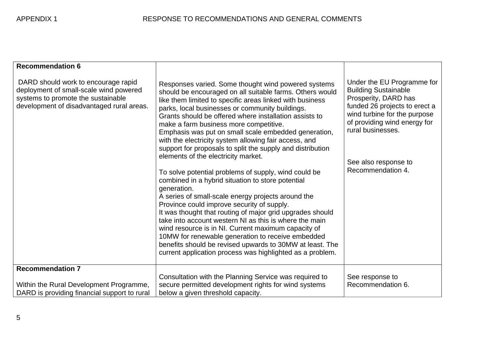| <b>Recommendation 6</b>                                                                                                                                          |                                                                                                                                                                                                                                                                                                                                                                                                                                                                                                                                                                                                                                                                                                                                                                                                                                                                                                                                                                                                                                                                                                                                                      |                                                                                                                                                                                                                                                      |
|------------------------------------------------------------------------------------------------------------------------------------------------------------------|------------------------------------------------------------------------------------------------------------------------------------------------------------------------------------------------------------------------------------------------------------------------------------------------------------------------------------------------------------------------------------------------------------------------------------------------------------------------------------------------------------------------------------------------------------------------------------------------------------------------------------------------------------------------------------------------------------------------------------------------------------------------------------------------------------------------------------------------------------------------------------------------------------------------------------------------------------------------------------------------------------------------------------------------------------------------------------------------------------------------------------------------------|------------------------------------------------------------------------------------------------------------------------------------------------------------------------------------------------------------------------------------------------------|
| DARD should work to encourage rapid<br>deployment of small-scale wind powered<br>systems to promote the sustainable<br>development of disadvantaged rural areas. | Responses varied. Some thought wind powered systems<br>should be encouraged on all suitable farms. Others would<br>like them limited to specific areas linked with business<br>parks, local businesses or community buildings.<br>Grants should be offered where installation assists to<br>make a farm business more competitive.<br>Emphasis was put on small scale embedded generation,<br>with the electricity system allowing fair access, and<br>support for proposals to split the supply and distribution<br>elements of the electricity market.<br>To solve potential problems of supply, wind could be<br>combined in a hybrid situation to store potential<br>generation.<br>A series of small-scale energy projects around the<br>Province could improve security of supply.<br>It was thought that routing of major grid upgrades should<br>take into account western NI as this is where the main<br>wind resource is in NI. Current maximum capacity of<br>10MW for renewable generation to receive embedded<br>benefits should be revised upwards to 30MW at least. The<br>current application process was highlighted as a problem. | Under the EU Programme for<br><b>Building Sustainable</b><br>Prosperity, DARD has<br>funded 26 projects to erect a<br>wind turbine for the purpose<br>of providing wind energy for<br>rural businesses.<br>See also response to<br>Recommendation 4. |
| <b>Recommendation 7</b><br>Within the Rural Development Programme,<br>DARD is providing financial support to rural                                               | Consultation with the Planning Service was required to<br>secure permitted development rights for wind systems<br>below a given threshold capacity.                                                                                                                                                                                                                                                                                                                                                                                                                                                                                                                                                                                                                                                                                                                                                                                                                                                                                                                                                                                                  | See response to<br>Recommendation 6.                                                                                                                                                                                                                 |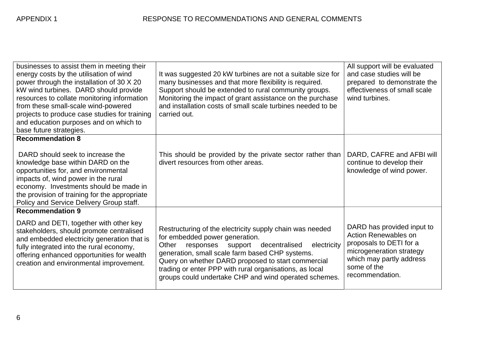| businesses to assist them in meeting their<br>energy costs by the utilisation of wind<br>power through the installation of 30 X 20<br>kW wind turbines. DARD should provide<br>resources to collate monitoring information<br>from these small-scale wind-powered<br>projects to produce case studies for training<br>and education purposes and on which to<br>base future strategies. | It was suggested 20 kW turbines are not a suitable size for<br>many businesses and that more flexibility is required.<br>Support should be extended to rural community groups.<br>Monitoring the impact of grant assistance on the purchase<br>and installation costs of small scale turbines needed to be<br>carried out.                                                         | All support will be evaluated<br>and case studies will be<br>prepared to demonstrate the<br>effectiveness of small scale<br>wind turbines.                                     |
|-----------------------------------------------------------------------------------------------------------------------------------------------------------------------------------------------------------------------------------------------------------------------------------------------------------------------------------------------------------------------------------------|------------------------------------------------------------------------------------------------------------------------------------------------------------------------------------------------------------------------------------------------------------------------------------------------------------------------------------------------------------------------------------|--------------------------------------------------------------------------------------------------------------------------------------------------------------------------------|
| <b>Recommendation 8</b>                                                                                                                                                                                                                                                                                                                                                                 |                                                                                                                                                                                                                                                                                                                                                                                    |                                                                                                                                                                                |
| DARD should seek to increase the<br>knowledge base within DARD on the<br>opportunities for, and environmental<br>impacts of, wind power in the rural<br>economy. Investments should be made in<br>the provision of training for the appropriate<br>Policy and Service Delivery Group staff.                                                                                             | This should be provided by the private sector rather than<br>divert resources from other areas.                                                                                                                                                                                                                                                                                    | DARD, CAFRE and AFBI will<br>continue to develop their<br>knowledge of wind power.                                                                                             |
| <b>Recommendation 9</b>                                                                                                                                                                                                                                                                                                                                                                 |                                                                                                                                                                                                                                                                                                                                                                                    |                                                                                                                                                                                |
| DARD and DETI, together with other key<br>stakeholders, should promote centralised<br>and embedded electricity generation that is<br>fully integrated into the rural economy,<br>offering enhanced opportunities for wealth<br>creation and environmental improvement.                                                                                                                  | Restructuring of the electricity supply chain was needed<br>for embedded power generation.<br>Other<br>responses support decentralised<br>electricity<br>generation, small scale farm based CHP systems.<br>Query on whether DARD proposed to start commercial<br>trading or enter PPP with rural organisations, as local<br>groups could undertake CHP and wind operated schemes. | DARD has provided input to<br><b>Action Renewables on</b><br>proposals to DETI for a<br>microgeneration strategy<br>which may partly address<br>some of the<br>recommendation. |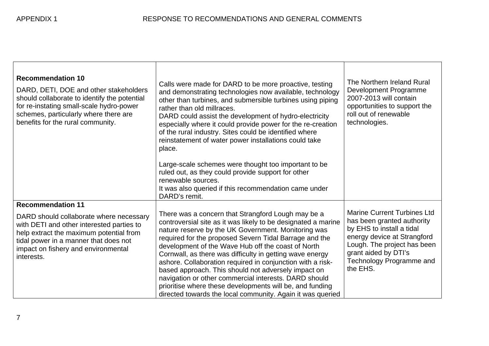| <b>Recommendation 10</b><br>DARD, DETI, DOE and other stakeholders<br>should collaborate to identify the potential<br>for re-instating small-scale hydro-power<br>schemes, particularly where there are<br>benefits for the rural community.              | Calls were made for DARD to be more proactive, testing<br>and demonstrating technologies now available, technology<br>other than turbines, and submersible turbines using piping<br>rather than old millraces.<br>DARD could assist the development of hydro-electricity<br>especially where it could provide power for the re-creation<br>of the rural industry. Sites could be identified where<br>reinstatement of water power installations could take<br>place.<br>Large-scale schemes were thought too important to be<br>ruled out, as they could provide support for other<br>renewable sources.<br>It was also queried if this recommendation came under<br>DARD's remit. | The Northern Ireland Rural<br>Development Programme<br>2007-2013 will contain<br>opportunities to support the<br>roll out of renewable<br>technologies.                                                                     |
|-----------------------------------------------------------------------------------------------------------------------------------------------------------------------------------------------------------------------------------------------------------|------------------------------------------------------------------------------------------------------------------------------------------------------------------------------------------------------------------------------------------------------------------------------------------------------------------------------------------------------------------------------------------------------------------------------------------------------------------------------------------------------------------------------------------------------------------------------------------------------------------------------------------------------------------------------------|-----------------------------------------------------------------------------------------------------------------------------------------------------------------------------------------------------------------------------|
| <b>Recommendation 11</b><br>DARD should collaborate where necessary<br>with DETI and other interested parties to<br>help extract the maximum potential from<br>tidal power in a manner that does not<br>impact on fishery and environmental<br>interests. | There was a concern that Strangford Lough may be a<br>controversial site as it was likely to be designated a marine<br>nature reserve by the UK Government. Monitoring was<br>required for the proposed Severn Tidal Barrage and the<br>development of the Wave Hub off the coast of North<br>Cornwall, as there was difficulty in getting wave energy<br>ashore. Collaboration required in conjunction with a risk-<br>based approach. This should not adversely impact on<br>navigation or other commercial interests. DARD should<br>prioritise where these developments will be, and funding<br>directed towards the local community. Again it was queried                     | <b>Marine Current Turbines Ltd</b><br>has been granted authority<br>by EHS to install a tidal<br>energy device at Strangford<br>Lough. The project has been<br>grant aided by DTI's<br>Technology Programme and<br>the EHS. |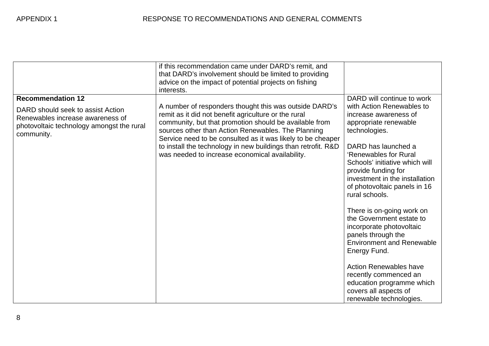|                                                                                                                                                              | if this recommendation came under DARD's remit, and<br>that DARD's involvement should be limited to providing<br>advice on the impact of potential projects on fishing<br>interests.                                                                                                                                                                                                                              |                                                                                                                                                                                                                                                                                                                                                                                                                                                                                        |
|--------------------------------------------------------------------------------------------------------------------------------------------------------------|-------------------------------------------------------------------------------------------------------------------------------------------------------------------------------------------------------------------------------------------------------------------------------------------------------------------------------------------------------------------------------------------------------------------|----------------------------------------------------------------------------------------------------------------------------------------------------------------------------------------------------------------------------------------------------------------------------------------------------------------------------------------------------------------------------------------------------------------------------------------------------------------------------------------|
| <b>Recommendation 12</b><br>DARD should seek to assist Action<br>Renewables increase awareness of<br>photovoltaic technology amongst the rural<br>community. | A number of responders thought this was outside DARD's<br>remit as it did not benefit agriculture or the rural<br>community, but that promotion should be available from<br>sources other than Action Renewables. The Planning<br>Service need to be consulted as it was likely to be cheaper<br>to install the technology in new buildings than retrofit. R&D<br>was needed to increase economical availability. | DARD will continue to work<br>with Action Renewables to<br>increase awareness of<br>appropriate renewable<br>technologies.<br>DARD has launched a<br>'Renewables for Rural<br>Schools' initiative which will<br>provide funding for<br>investment in the installation<br>of photovoltaic panels in 16<br>rural schools.<br>There is on-going work on<br>the Government estate to<br>incorporate photovoltaic<br>panels through the<br><b>Environment and Renewable</b><br>Energy Fund. |
|                                                                                                                                                              |                                                                                                                                                                                                                                                                                                                                                                                                                   | <b>Action Renewables have</b><br>recently commenced an<br>education programme which<br>covers all aspects of<br>renewable technologies.                                                                                                                                                                                                                                                                                                                                                |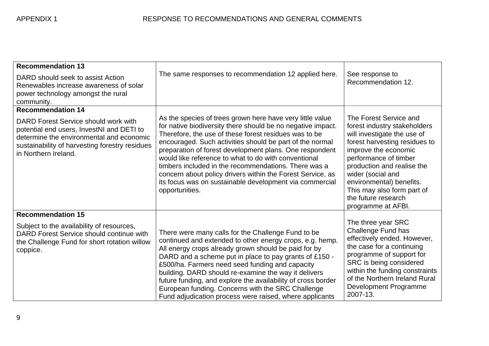| <b>Recommendation 13</b><br>DARD should seek to assist Action<br>Renewables increase awareness of solar<br>power technology amongst the rural<br>community.                                                                         | The same responses to recommendation 12 applied here.                                                                                                                                                                                                                                                                                                                                                                                                                                                                                                               | See response to<br>Recommendation 12.                                                                                                                                                                                                                                                                                             |
|-------------------------------------------------------------------------------------------------------------------------------------------------------------------------------------------------------------------------------------|---------------------------------------------------------------------------------------------------------------------------------------------------------------------------------------------------------------------------------------------------------------------------------------------------------------------------------------------------------------------------------------------------------------------------------------------------------------------------------------------------------------------------------------------------------------------|-----------------------------------------------------------------------------------------------------------------------------------------------------------------------------------------------------------------------------------------------------------------------------------------------------------------------------------|
| <b>Recommendation 14</b><br>DARD Forest Service should work with<br>potential end users, InvestNI and DETI to<br>determine the environmental and economic<br>sustainability of harvesting forestry residues<br>in Northern Ireland. | As the species of trees grown here have very little value<br>for native biodiversity there should be no negative impact.<br>Therefore, the use of these forest residues was to be<br>encouraged. Such activities should be part of the normal<br>preparation of forest development plans. One respondent<br>would like reference to what to do with conventional<br>timbers included in the recommendations. There was a<br>concern about policy drivers within the Forest Service, as<br>its focus was on sustainable development via commercial<br>opportunities. | The Forest Service and<br>forest industry stakeholders<br>will investigate the use of<br>forest harvesting residues to<br>improve the economic<br>performance of timber<br>production and realise the<br>wider (social and<br>environmental) benefits.<br>This may also form part of<br>the future research<br>programme at AFBI. |
| <b>Recommendation 15</b><br>Subject to the availability of resources,<br>DARD Forest Service should continue with<br>the Challenge Fund for short rotation willow<br>coppice.                                                       | There were many calls for the Challenge Fund to be<br>continued and extended to other energy crops, e.g. hemp.<br>All energy crops already grown should be paid for by<br>DARD and a scheme put in place to pay grants of £150 -<br>£500/ha. Farmers need seed funding and capacity<br>building. DARD should re-examine the way it delivers<br>future funding, and explore the availability of cross border<br>European funding. Concerns with the SRC Challenge<br>Fund adjudication process were raised, where applicants                                         | The three year SRC<br>Challenge Fund has<br>effectively ended. However,<br>the case for a continuing<br>programme of support for<br>SRC is being considered<br>within the funding constraints<br>of the Northern Ireland Rural<br>Development Programme<br>2007-13.                                                               |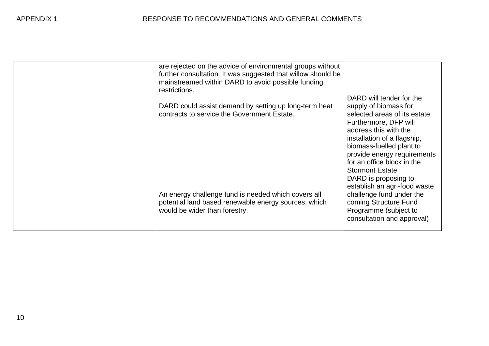|  | are rejected on the advice of environmental groups without<br>further consultation. It was suggested that willow should be<br>mainstreamed within DARD to avoid possible funding<br>restrictions.<br>DARD could assist demand by setting up long-term heat<br>contracts to service the Government Estate.<br>An energy challenge fund is needed which covers all<br>potential land based renewable energy sources, which<br>would be wider than forestry. | DARD will tender for the<br>supply of biomass for<br>selected areas of its estate.<br>Furthermore, DFP will<br>address this with the<br>installation of a flagship,<br>biomass-fuelled plant to<br>provide energy requirements<br>for an office block in the<br><b>Stormont Estate.</b><br>DARD is proposing to<br>establish an agri-food waste<br>challenge fund under the<br>coming Structure Fund<br>Programme (subject to<br>consultation and approval) |
|--|-----------------------------------------------------------------------------------------------------------------------------------------------------------------------------------------------------------------------------------------------------------------------------------------------------------------------------------------------------------------------------------------------------------------------------------------------------------|-------------------------------------------------------------------------------------------------------------------------------------------------------------------------------------------------------------------------------------------------------------------------------------------------------------------------------------------------------------------------------------------------------------------------------------------------------------|
|--|-----------------------------------------------------------------------------------------------------------------------------------------------------------------------------------------------------------------------------------------------------------------------------------------------------------------------------------------------------------------------------------------------------------------------------------------------------------|-------------------------------------------------------------------------------------------------------------------------------------------------------------------------------------------------------------------------------------------------------------------------------------------------------------------------------------------------------------------------------------------------------------------------------------------------------------|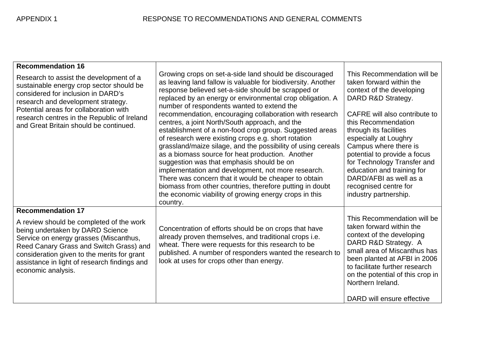| <b>Recommendation 16</b><br>Research to assist the development of a<br>sustainable energy crop sector should be<br>considered for inclusion in DARD's<br>research and development strategy.<br>Potential areas for collaboration with<br>research centres in the Republic of Ireland<br>and Great Britain should be continued. | Growing crops on set-a-side land should be discouraged<br>as leaving land fallow is valuable for biodiversity. Another<br>response believed set-a-side should be scrapped or<br>replaced by an energy or environmental crop obligation. A<br>number of respondents wanted to extend the<br>recommendation, encouraging collaboration with research<br>centres, a joint North/South approach, and the<br>establishment of a non-food crop group. Suggested areas<br>of research were existing crops e.g. short rotation<br>grassland/maize silage, and the possibility of using cereals<br>as a biomass source for heat production. Another<br>suggestion was that emphasis should be on<br>implementation and development, not more research.<br>There was concern that it would be cheaper to obtain<br>biomass from other countries, therefore putting in doubt<br>the economic viability of growing energy crops in this<br>country. | This Recommendation will be<br>taken forward within the<br>context of the developing<br>DARD R&D Strategy.<br>CAFRE will also contribute to<br>this Recommendation<br>through its facilities<br>especially at Loughry<br>Campus where there is<br>potential to provide a focus<br>for Technology Transfer and<br>education and training for<br>DARD/AFBI as well as a<br>recognised centre for<br>industry partnership. |
|--------------------------------------------------------------------------------------------------------------------------------------------------------------------------------------------------------------------------------------------------------------------------------------------------------------------------------|-----------------------------------------------------------------------------------------------------------------------------------------------------------------------------------------------------------------------------------------------------------------------------------------------------------------------------------------------------------------------------------------------------------------------------------------------------------------------------------------------------------------------------------------------------------------------------------------------------------------------------------------------------------------------------------------------------------------------------------------------------------------------------------------------------------------------------------------------------------------------------------------------------------------------------------------|-------------------------------------------------------------------------------------------------------------------------------------------------------------------------------------------------------------------------------------------------------------------------------------------------------------------------------------------------------------------------------------------------------------------------|
| <b>Recommendation 17</b><br>A review should be completed of the work<br>being undertaken by DARD Science<br>Service on energy grasses (Miscanthus,<br>Reed Canary Grass and Switch Grass) and<br>consideration given to the merits for grant<br>assistance in light of research findings and<br>economic analysis.             | Concentration of efforts should be on crops that have<br>already proven themselves, and traditional crops i.e.<br>wheat. There were requests for this research to be<br>published. A number of responders wanted the research to<br>look at uses for crops other than energy.                                                                                                                                                                                                                                                                                                                                                                                                                                                                                                                                                                                                                                                           | This Recommendation will be<br>taken forward within the<br>context of the developing<br>DARD R&D Strategy. A<br>small area of Miscanthus has<br>been planted at AFBI in 2006<br>to facilitate further research<br>on the potential of this crop in<br>Northern Ireland.<br>DARD will ensure effective                                                                                                                   |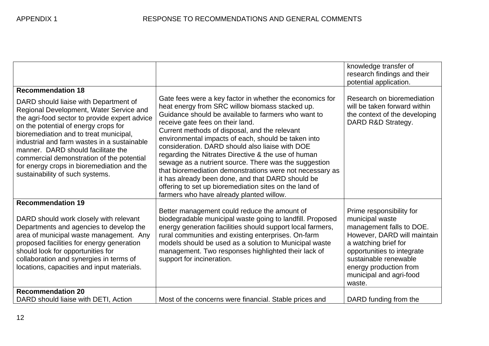|                                                                                                                                                                                                                                                                                                                                                                                                                                        |                                                                                                                                                                                                                                                                                                                                                                                                                                                                                                                                                                                                                                                                                                          | knowledge transfer of<br>research findings and their<br>potential application.                                                                                                                                                                       |
|----------------------------------------------------------------------------------------------------------------------------------------------------------------------------------------------------------------------------------------------------------------------------------------------------------------------------------------------------------------------------------------------------------------------------------------|----------------------------------------------------------------------------------------------------------------------------------------------------------------------------------------------------------------------------------------------------------------------------------------------------------------------------------------------------------------------------------------------------------------------------------------------------------------------------------------------------------------------------------------------------------------------------------------------------------------------------------------------------------------------------------------------------------|------------------------------------------------------------------------------------------------------------------------------------------------------------------------------------------------------------------------------------------------------|
| <b>Recommendation 18</b>                                                                                                                                                                                                                                                                                                                                                                                                               |                                                                                                                                                                                                                                                                                                                                                                                                                                                                                                                                                                                                                                                                                                          |                                                                                                                                                                                                                                                      |
| DARD should liaise with Department of<br>Regional Development, Water Service and<br>the agri-food sector to provide expert advice<br>on the potential of energy crops for<br>bioremediation and to treat municipal,<br>industrial and farm wastes in a sustainable<br>manner. DARD should facilitate the<br>commercial demonstration of the potential<br>for energy crops in bioremediation and the<br>sustainability of such systems. | Gate fees were a key factor in whether the economics for<br>heat energy from SRC willow biomass stacked up.<br>Guidance should be available to farmers who want to<br>receive gate fees on their land.<br>Current methods of disposal, and the relevant<br>environmental impacts of each, should be taken into<br>consideration. DARD should also liaise with DOE<br>regarding the Nitrates Directive & the use of human<br>sewage as a nutrient source. There was the suggestion<br>that bioremediation demonstrations were not necessary as<br>it has already been done, and that DARD should be<br>offering to set up bioremediation sites on the land of<br>farmers who have already planted willow. | Research on bioremediation<br>will be taken forward within<br>the context of the developing<br>DARD R&D Strategy.                                                                                                                                    |
| <b>Recommendation 19</b>                                                                                                                                                                                                                                                                                                                                                                                                               |                                                                                                                                                                                                                                                                                                                                                                                                                                                                                                                                                                                                                                                                                                          |                                                                                                                                                                                                                                                      |
| DARD should work closely with relevant<br>Departments and agencies to develop the<br>area of municipal waste management. Any<br>proposed facilities for energy generation<br>should look for opportunities for<br>collaboration and synergies in terms of<br>locations, capacities and input materials.                                                                                                                                | Better management could reduce the amount of<br>biodegradable municipal waste going to landfill. Proposed<br>energy generation facilities should support local farmers,<br>rural communities and existing enterprises. On-farm<br>models should be used as a solution to Municipal waste<br>management. Two responses highlighted their lack of<br>support for incineration.                                                                                                                                                                                                                                                                                                                             | Prime responsibility for<br>municipal waste<br>management falls to DOE.<br>However, DARD will maintain<br>a watching brief for<br>opportunities to integrate<br>sustainable renewable<br>energy production from<br>municipal and agri-food<br>waste. |
| <b>Recommendation 20</b><br>DARD should liaise with DETI, Action                                                                                                                                                                                                                                                                                                                                                                       | Most of the concerns were financial. Stable prices and                                                                                                                                                                                                                                                                                                                                                                                                                                                                                                                                                                                                                                                   | DARD funding from the                                                                                                                                                                                                                                |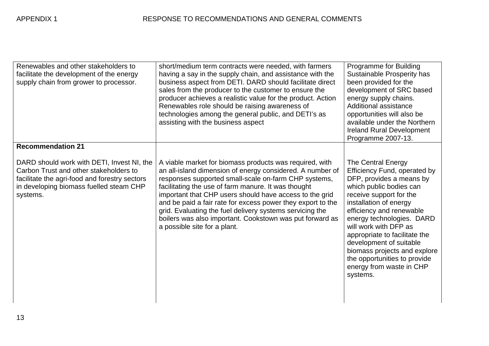| Renewables and other stakeholders to<br>facilitate the development of the energy<br>supply chain from grower to processor.<br><b>Recommendation 21</b>                                       | short/medium term contracts were needed, with farmers<br>having a say in the supply chain, and assistance with the<br>business aspect from DETI. DARD should facilitate direct<br>sales from the producer to the customer to ensure the<br>producer achieves a realistic value for the product. Action<br>Renewables role should be raising awareness of<br>technologies among the general public, and DETI's as<br>assisting with the business aspect                                                                | Programme for Building<br>Sustainable Prosperity has<br>been provided for the<br>development of SRC based<br>energy supply chains.<br>Additional assistance<br>opportunities will also be<br>available under the Northern<br><b>Ireland Rural Development</b><br>Programme 2007-13.                                                                                                                                  |
|----------------------------------------------------------------------------------------------------------------------------------------------------------------------------------------------|-----------------------------------------------------------------------------------------------------------------------------------------------------------------------------------------------------------------------------------------------------------------------------------------------------------------------------------------------------------------------------------------------------------------------------------------------------------------------------------------------------------------------|----------------------------------------------------------------------------------------------------------------------------------------------------------------------------------------------------------------------------------------------------------------------------------------------------------------------------------------------------------------------------------------------------------------------|
| DARD should work with DETI, Invest NI, the<br>Carbon Trust and other stakeholders to<br>facilitate the agri-food and forestry sectors<br>in developing biomass fuelled steam CHP<br>systems. | A viable market for biomass products was required, with<br>an all-island dimension of energy considered. A number of<br>responses supported small-scale on-farm CHP systems,<br>facilitating the use of farm manure. It was thought<br>important that CHP users should have access to the grid<br>and be paid a fair rate for excess power they export to the<br>grid. Evaluating the fuel delivery systems servicing the<br>boilers was also important. Cookstown was put forward as<br>a possible site for a plant. | The Central Energy<br>Efficiency Fund, operated by<br>DFP, provides a means by<br>which public bodies can<br>receive support for the<br>installation of energy<br>efficiency and renewable<br>energy technologies. DARD<br>will work with DFP as<br>appropriate to facilitate the<br>development of suitable<br>biomass projects and explore<br>the opportunities to provide<br>energy from waste in CHP<br>systems. |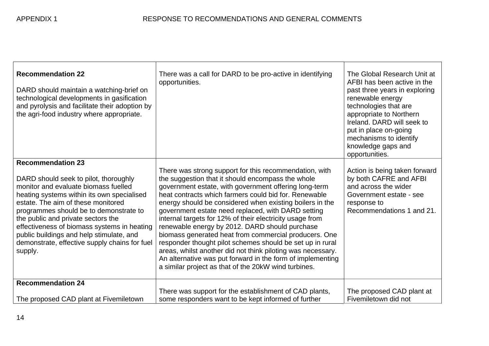| <b>Recommendation 22</b><br>DARD should maintain a watching-brief on<br>technological developments in gasification<br>and pyrolysis and facilitate their adoption by<br>the agri-food industry where appropriate.                                                                                                                                                                                                                    | There was a call for DARD to be pro-active in identifying<br>opportunities.                                                                                                                                                                                                                                                                                                                                                                                                                                                                                                                                                                                                                                                                                              | The Global Research Unit at<br>AFBI has been active in the<br>past three years in exploring<br>renewable energy<br>technologies that are<br>appropriate to Northern<br>Ireland. DARD will seek to<br>put in place on-going<br>mechanisms to identify<br>knowledge gaps and<br>opportunities. |
|--------------------------------------------------------------------------------------------------------------------------------------------------------------------------------------------------------------------------------------------------------------------------------------------------------------------------------------------------------------------------------------------------------------------------------------|--------------------------------------------------------------------------------------------------------------------------------------------------------------------------------------------------------------------------------------------------------------------------------------------------------------------------------------------------------------------------------------------------------------------------------------------------------------------------------------------------------------------------------------------------------------------------------------------------------------------------------------------------------------------------------------------------------------------------------------------------------------------------|----------------------------------------------------------------------------------------------------------------------------------------------------------------------------------------------------------------------------------------------------------------------------------------------|
| <b>Recommendation 23</b><br>DARD should seek to pilot, thoroughly<br>monitor and evaluate biomass fuelled<br>heating systems within its own specialised<br>estate. The aim of these monitored<br>programmes should be to demonstrate to<br>the public and private sectors the<br>effectiveness of biomass systems in heating<br>public buildings and help stimulate, and<br>demonstrate, effective supply chains for fuel<br>supply. | There was strong support for this recommendation, with<br>the suggestion that it should encompass the whole<br>government estate, with government offering long-term<br>heat contracts which farmers could bid for. Renewable<br>energy should be considered when existing boilers in the<br>government estate need replaced, with DARD setting<br>internal targets for 12% of their electricity usage from<br>renewable energy by 2012. DARD should purchase<br>biomass generated heat from commercial producers. One<br>responder thought pilot schemes should be set up in rural<br>areas, whilst another did not think piloting was necessary.<br>An alternative was put forward in the form of implementing<br>a similar project as that of the 20kW wind turbines. | Action is being taken forward<br>by both CAFRE and AFBI<br>and across the wider<br>Government estate - see<br>response to<br>Recommendations 1 and 21.                                                                                                                                       |
| <b>Recommendation 24</b><br>The proposed CAD plant at Fivemiletown                                                                                                                                                                                                                                                                                                                                                                   | There was support for the establishment of CAD plants,<br>some responders want to be kept informed of further                                                                                                                                                                                                                                                                                                                                                                                                                                                                                                                                                                                                                                                            | The proposed CAD plant at<br>Fivemiletown did not                                                                                                                                                                                                                                            |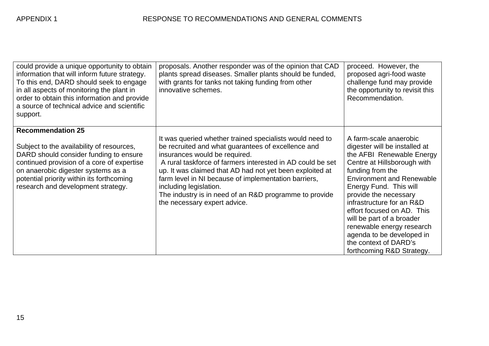| could provide a unique opportunity to obtain<br>information that will inform future strategy.<br>To this end, DARD should seek to engage<br>in all aspects of monitoring the plant in<br>order to obtain this information and provide<br>a source of technical advice and scientific<br>support. | proposals. Another responder was of the opinion that CAD<br>plants spread diseases. Smaller plants should be funded,<br>with grants for tanks not taking funding from other<br>innovative schemes.                                                                                                                                                                                                                                                    | proceed. However, the<br>proposed agri-food waste<br>challenge fund may provide<br>the opportunity to revisit this<br>Recommendation.                                                                                                                                                                                                                                                                                                  |
|--------------------------------------------------------------------------------------------------------------------------------------------------------------------------------------------------------------------------------------------------------------------------------------------------|-------------------------------------------------------------------------------------------------------------------------------------------------------------------------------------------------------------------------------------------------------------------------------------------------------------------------------------------------------------------------------------------------------------------------------------------------------|----------------------------------------------------------------------------------------------------------------------------------------------------------------------------------------------------------------------------------------------------------------------------------------------------------------------------------------------------------------------------------------------------------------------------------------|
| <b>Recommendation 25</b><br>Subject to the availability of resources,<br>DARD should consider funding to ensure<br>continued provision of a core of expertise<br>on anaerobic digester systems as a<br>potential priority within its forthcoming<br>research and development strategy.           | It was queried whether trained specialists would need to<br>be recruited and what guarantees of excellence and<br>insurances would be required.<br>A rural taskforce of farmers interested in AD could be set<br>up. It was claimed that AD had not yet been exploited at<br>farm level in NI because of implementation barriers,<br>including legislation.<br>The industry is in need of an R&D programme to provide<br>the necessary expert advice. | A farm-scale anaerobic<br>digester will be installed at<br>the AFBI Renewable Energy<br>Centre at Hillsborough with<br>funding from the<br><b>Environment and Renewable</b><br>Energy Fund. This will<br>provide the necessary<br>infrastructure for an R&D<br>effort focused on AD. This<br>will be part of a broader<br>renewable energy research<br>agenda to be developed in<br>the context of DARD's<br>forthcoming R&D Strategy. |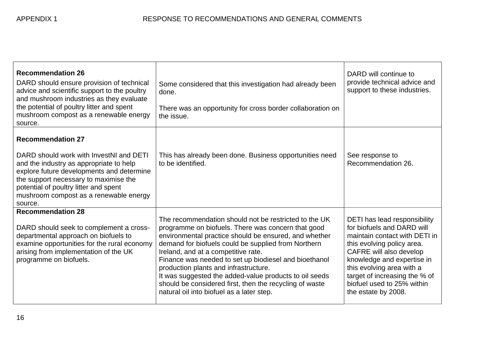| <b>Recommendation 26</b><br>DARD should ensure provision of technical<br>advice and scientific support to the poultry<br>and mushroom industries as they evaluate<br>the potential of poultry litter and spent<br>mushroom compost as a renewable energy<br>source.                                | Some considered that this investigation had already been<br>done.<br>There was an opportunity for cross border collaboration on<br>the issue.                                                                                                                                                                                                                                                                                                                                                                                          | DARD will continue to<br>provide technical advice and<br>support to these industries.                                                                                                                                                                                                                 |
|----------------------------------------------------------------------------------------------------------------------------------------------------------------------------------------------------------------------------------------------------------------------------------------------------|----------------------------------------------------------------------------------------------------------------------------------------------------------------------------------------------------------------------------------------------------------------------------------------------------------------------------------------------------------------------------------------------------------------------------------------------------------------------------------------------------------------------------------------|-------------------------------------------------------------------------------------------------------------------------------------------------------------------------------------------------------------------------------------------------------------------------------------------------------|
| <b>Recommendation 27</b><br>DARD should work with InvestNI and DETI<br>and the industry as appropriate to help<br>explore future developments and determine<br>the support necessary to maximise the<br>potential of poultry litter and spent<br>mushroom compost as a renewable energy<br>source. | This has already been done. Business opportunities need<br>to be identified.                                                                                                                                                                                                                                                                                                                                                                                                                                                           | See response to<br>Recommendation 26.                                                                                                                                                                                                                                                                 |
| <b>Recommendation 28</b><br>DARD should seek to complement a cross-<br>departmental approach on biofuels to<br>examine opportunities for the rural economy<br>arising from implementation of the UK<br>programme on biofuels.                                                                      | The recommendation should not be restricted to the UK<br>programme on biofuels. There was concern that good<br>environmental practice should be ensured, and whether<br>demand for biofuels could be supplied from Northern<br>Ireland, and at a competitive rate.<br>Finance was needed to set up biodiesel and bioethanol<br>production plants and infrastructure.<br>It was suggested the added-value products to oil seeds<br>should be considered first, then the recycling of waste<br>natural oil into biofuel as a later step. | DETI has lead responsibility<br>for biofuels and DARD will<br>maintain contact with DETI in<br>this evolving policy area.<br>CAFRE will also develop<br>knowledge and expertise in<br>this evolving area with a<br>target of increasing the % of<br>biofuel used to 25% within<br>the estate by 2008. |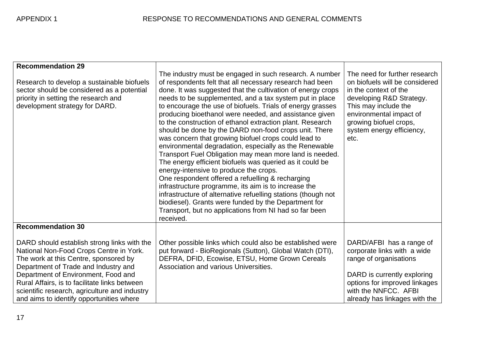| <b>Recommendation 29</b>                                                                                                                                                                                       |                                                                                                                                                                                                                                                                                                                                                                                                                                                                                                                                                                                                                                                                                                                                                                                                                                                                                                                                                                                                                                                                                            |                                                                                                                                                                                                                                        |
|----------------------------------------------------------------------------------------------------------------------------------------------------------------------------------------------------------------|--------------------------------------------------------------------------------------------------------------------------------------------------------------------------------------------------------------------------------------------------------------------------------------------------------------------------------------------------------------------------------------------------------------------------------------------------------------------------------------------------------------------------------------------------------------------------------------------------------------------------------------------------------------------------------------------------------------------------------------------------------------------------------------------------------------------------------------------------------------------------------------------------------------------------------------------------------------------------------------------------------------------------------------------------------------------------------------------|----------------------------------------------------------------------------------------------------------------------------------------------------------------------------------------------------------------------------------------|
| Research to develop a sustainable biofuels<br>sector should be considered as a potential<br>priority in setting the research and<br>development strategy for DARD.                                             | The industry must be engaged in such research. A number<br>of respondents felt that all necessary research had been<br>done. It was suggested that the cultivation of energy crops<br>needs to be supplemented, and a tax system put in place<br>to encourage the use of biofuels. Trials of energy grasses<br>producing bioethanol were needed, and assistance given<br>to the construction of ethanol extraction plant. Research<br>should be done by the DARD non-food crops unit. There<br>was concern that growing biofuel crops could lead to<br>environmental degradation, especially as the Renewable<br>Transport Fuel Obligation may mean more land is needed.<br>The energy efficient biofuels was queried as it could be<br>energy-intensive to produce the crops.<br>One respondent offered a refuelling & recharging<br>infrastructure programme, its aim is to increase the<br>infrastructure of alternative refuelling stations (though not<br>biodiesel). Grants were funded by the Department for<br>Transport, but no applications from NI had so far been<br>received. | The need for further research<br>on biofuels will be considered<br>in the context of the<br>developing R&D Strategy.<br>This may include the<br>environmental impact of<br>growing biofuel crops,<br>system energy efficiency,<br>etc. |
| <b>Recommendation 30</b>                                                                                                                                                                                       |                                                                                                                                                                                                                                                                                                                                                                                                                                                                                                                                                                                                                                                                                                                                                                                                                                                                                                                                                                                                                                                                                            |                                                                                                                                                                                                                                        |
| DARD should establish strong links with the<br>National Non-Food Crops Centre in York.<br>The work at this Centre, sponsored by<br>Department of Trade and Industry and<br>Department of Environment, Food and | Other possible links which could also be established were<br>put forward - BioRegionals (Sutton), Global Watch (DTI),<br>DEFRA, DFID, Ecowise, ETSU, Home Grown Cereals<br>Association and various Universities.                                                                                                                                                                                                                                                                                                                                                                                                                                                                                                                                                                                                                                                                                                                                                                                                                                                                           | DARD/AFBI has a range of<br>corporate links with a wide<br>range of organisations<br>DARD is currently exploring                                                                                                                       |
| Rural Affairs, is to facilitate links between<br>scientific research, agriculture and industry<br>and aims to identify opportunities where                                                                     |                                                                                                                                                                                                                                                                                                                                                                                                                                                                                                                                                                                                                                                                                                                                                                                                                                                                                                                                                                                                                                                                                            | options for improved linkages<br>with the NNFCC. AFBI<br>already has linkages with the                                                                                                                                                 |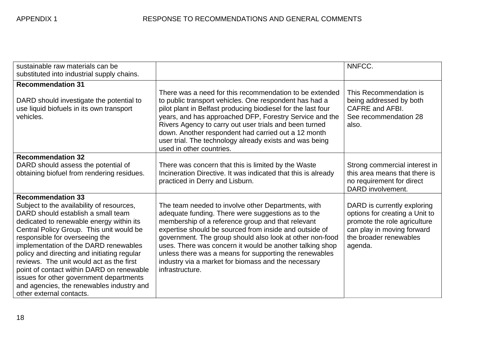| sustainable raw materials can be<br>substituted into industrial supply chains.                                                                                                                                                                                                                                                                                                                                                                                                                                                             |                                                                                                                                                                                                                                                                                                                                                                                                                                                                                     | NNFCC.                                                                                                                                                           |
|--------------------------------------------------------------------------------------------------------------------------------------------------------------------------------------------------------------------------------------------------------------------------------------------------------------------------------------------------------------------------------------------------------------------------------------------------------------------------------------------------------------------------------------------|-------------------------------------------------------------------------------------------------------------------------------------------------------------------------------------------------------------------------------------------------------------------------------------------------------------------------------------------------------------------------------------------------------------------------------------------------------------------------------------|------------------------------------------------------------------------------------------------------------------------------------------------------------------|
| <b>Recommendation 31</b><br>DARD should investigate the potential to<br>use liquid biofuels in its own transport<br>vehicles.                                                                                                                                                                                                                                                                                                                                                                                                              | There was a need for this recommendation to be extended<br>to public transport vehicles. One respondent has had a<br>pilot plant in Belfast producing biodiesel for the last four<br>years, and has approached DFP, Forestry Service and the<br>Rivers Agency to carry out user trials and been turned<br>down. Another respondent had carried out a 12 month<br>user trial. The technology already exists and was being<br>used in other countries.                                | This Recommendation is<br>being addressed by both<br><b>CAFRE</b> and AFBI.<br>See recommendation 28<br>also.                                                    |
| <b>Recommendation 32</b><br>DARD should assess the potential of<br>obtaining biofuel from rendering residues.                                                                                                                                                                                                                                                                                                                                                                                                                              | There was concern that this is limited by the Waste<br>Incineration Directive. It was indicated that this is already<br>practiced in Derry and Lisburn.                                                                                                                                                                                                                                                                                                                             | Strong commercial interest in<br>this area means that there is<br>no requirement for direct<br>DARD involvement.                                                 |
| <b>Recommendation 33</b><br>Subject to the availability of resources,<br>DARD should establish a small team<br>dedicated to renewable energy within its<br>Central Policy Group. This unit would be<br>responsible for overseeing the<br>implementation of the DARD renewables<br>policy and directing and initiating regular<br>reviews. The unit would act as the first<br>point of contact within DARD on renewable<br>issues for other government departments<br>and agencies, the renewables industry and<br>other external contacts. | The team needed to involve other Departments, with<br>adequate funding. There were suggestions as to the<br>membership of a reference group and that relevant<br>expertise should be sourced from inside and outside of<br>government. The group should also look at other non-food<br>uses. There was concern it would be another talking shop<br>unless there was a means for supporting the renewables<br>industry via a market for biomass and the necessary<br>infrastructure. | DARD is currently exploring<br>options for creating a Unit to<br>promote the role agriculture<br>can play in moving forward<br>the broader renewables<br>agenda. |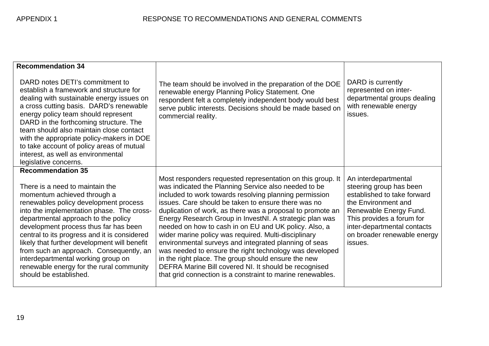| <b>Recommendation 34</b>                                                                                                                                                                                                                                                                                                                                                                                                                                                                                                |                                                                                                                                                                                                                                                                                                                                                                                                                                                                                                                                                                                                                                                                                                                                                                                 |                                                                                                                                                                                                                                       |
|-------------------------------------------------------------------------------------------------------------------------------------------------------------------------------------------------------------------------------------------------------------------------------------------------------------------------------------------------------------------------------------------------------------------------------------------------------------------------------------------------------------------------|---------------------------------------------------------------------------------------------------------------------------------------------------------------------------------------------------------------------------------------------------------------------------------------------------------------------------------------------------------------------------------------------------------------------------------------------------------------------------------------------------------------------------------------------------------------------------------------------------------------------------------------------------------------------------------------------------------------------------------------------------------------------------------|---------------------------------------------------------------------------------------------------------------------------------------------------------------------------------------------------------------------------------------|
| DARD notes DETI's commitment to<br>establish a framework and structure for<br>dealing with sustainable energy issues on<br>a cross cutting basis. DARD's renewable<br>energy policy team should represent<br>DARD in the forthcoming structure. The<br>team should also maintain close contact<br>with the appropriate policy-makers in DOE<br>to take account of policy areas of mutual<br>interest, as well as environmental<br>legislative concerns.                                                                 | The team should be involved in the preparation of the DOE<br>renewable energy Planning Policy Statement. One<br>respondent felt a completely independent body would best<br>serve public interests. Decisions should be made based on<br>commercial reality.                                                                                                                                                                                                                                                                                                                                                                                                                                                                                                                    | DARD is currently<br>represented on inter-<br>departmental groups dealing<br>with renewable energy<br>issues.                                                                                                                         |
| <b>Recommendation 35</b><br>There is a need to maintain the<br>momentum achieved through a<br>renewables policy development process<br>into the implementation phase. The cross-<br>departmental approach to the policy<br>development process thus far has been<br>central to its progress and it is considered<br>likely that further development will benefit<br>from such an approach. Consequently, an<br>interdepartmental working group on<br>renewable energy for the rural community<br>should be established. | Most responders requested representation on this group. It<br>was indicated the Planning Service also needed to be<br>included to work towards resolving planning permission<br>issues. Care should be taken to ensure there was no<br>duplication of work, as there was a proposal to promote an<br>Energy Research Group in InvestNI. A strategic plan was<br>needed on how to cash in on EU and UK policy. Also, a<br>wider marine policy was required. Multi-disciplinary<br>environmental surveys and integrated planning of seas<br>was needed to ensure the right technology was developed<br>in the right place. The group should ensure the new<br>DEFRA Marine Bill covered NI. It should be recognised<br>that grid connection is a constraint to marine renewables. | An interdepartmental<br>steering group has been<br>established to take forward<br>the Environment and<br>Renewable Energy Fund.<br>This provides a forum for<br>inter-departmental contacts<br>on broader renewable energy<br>issues. |